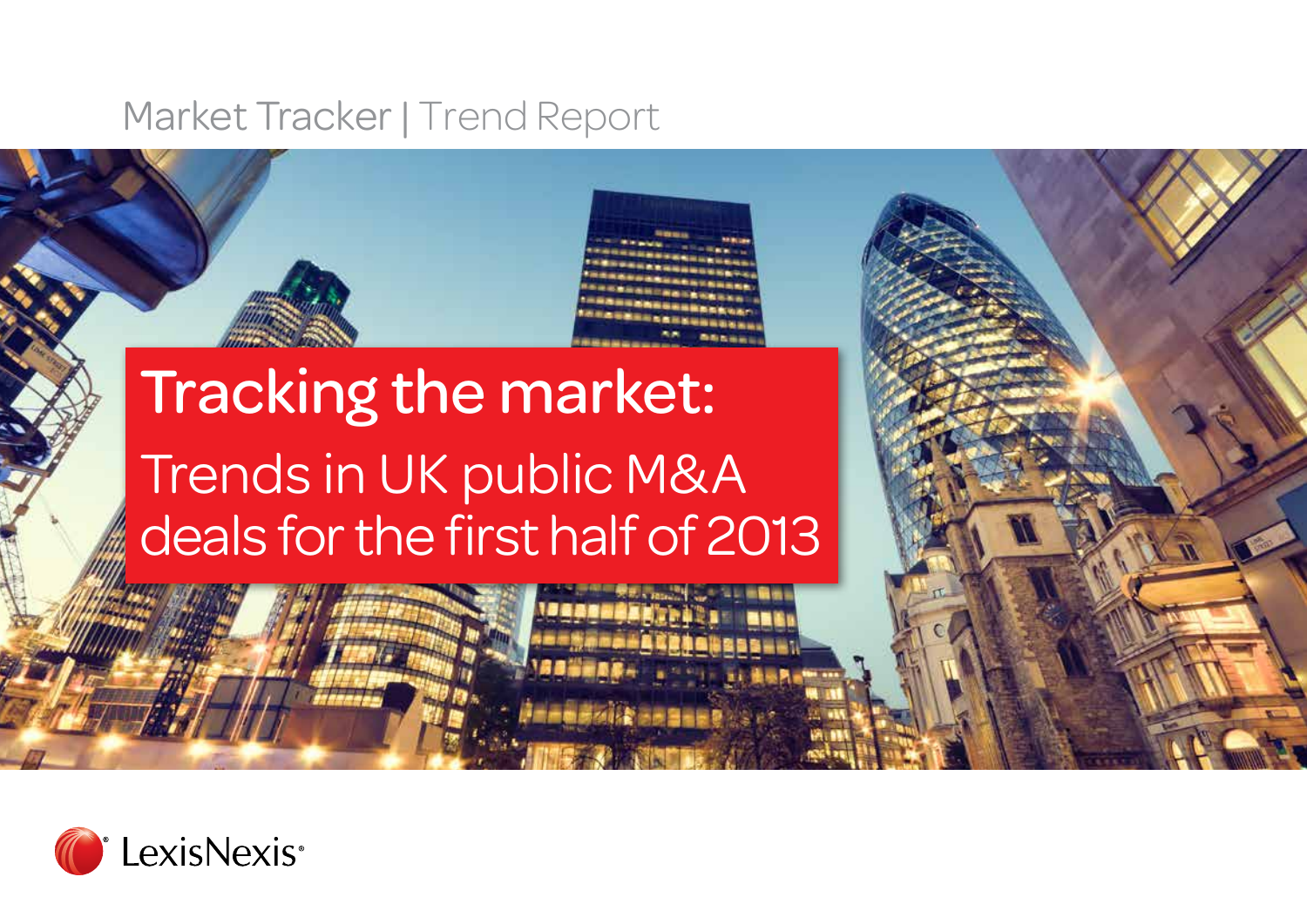### Market Tracker | Trend Report

## Tracking the market: Trends in UK public M&A deals for the first half of 2013

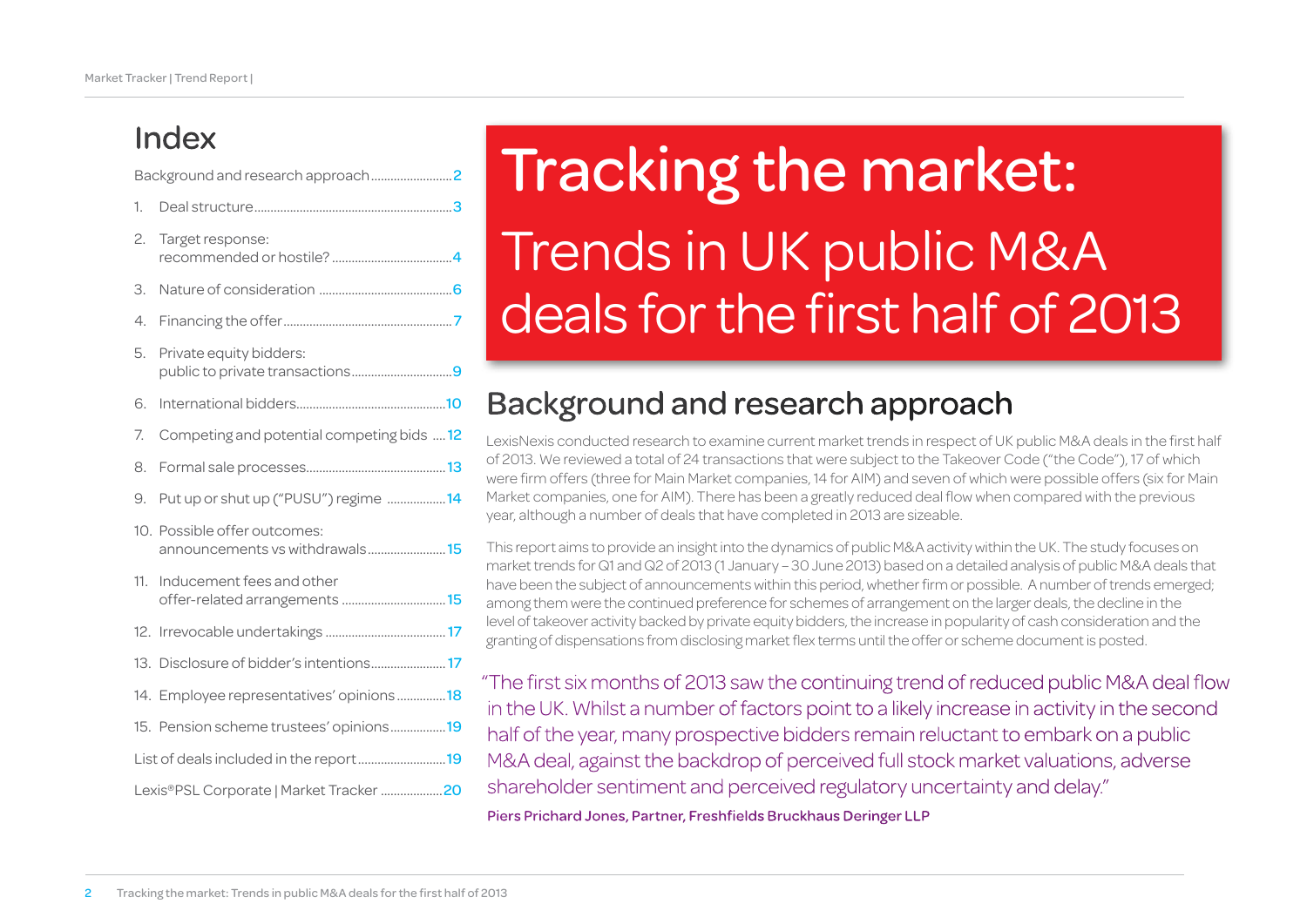### Index

Background and research approach

| 1.                                      |                                                                |  |  |
|-----------------------------------------|----------------------------------------------------------------|--|--|
| 2.                                      | Target response:                                               |  |  |
| З.                                      |                                                                |  |  |
| 4.                                      |                                                                |  |  |
| 5.                                      | Private equity bidders:<br>public to private transactions9     |  |  |
| 6.                                      |                                                                |  |  |
| 7.                                      | Competing and potential competing bids  12                     |  |  |
| 8.                                      |                                                                |  |  |
| 9.                                      | Put up or shut up ("PUSU") regime 14                           |  |  |
|                                         | 10. Possible offer outcomes:<br>announcements vs withdrawals15 |  |  |
| 11.                                     | Inducement fees and other<br>offer-related arrangements 15     |  |  |
| 12.                                     |                                                                |  |  |
|                                         | 13. Disclosure of bidder's intentions 17                       |  |  |
|                                         | 14. Employee representatives' opinions18                       |  |  |
|                                         | 15. Pension scheme trustees' opinions19                        |  |  |
| List of deals included in the report19  |                                                                |  |  |
| Lexis®PSL Corporate   Market Tracker 20 |                                                                |  |  |
|                                         |                                                                |  |  |

# Tracking the market: Trends in UK public M&A deals for the first half of 2013

### Background and research approach

LexisNexis conducted research to examine current market trends in respect of UK public M&A deals in the first half of 2013. We reviewed a total of 24 transactions that were subject to the Takeover Code ("the Code"), 17 of which were firm offers (three for Main Market companies, 14 for AIM) and seven of which were possible offers (six for Main Market companies, one for AIM). There has been a greatly reduced deal flow when compared with the previous year, although a number of deals that have completed in 2013 are sizeable.

This report aims to provide an insight into the dynamics of public M&A activity within the UK. The study focuses on market trends for Q1 and Q2 of 2013 (1 January – 30 June 2013) based on a detailed analysis of public M&A deals that have been the subject of announcements within this period, whether firm or possible. A number of trends emerged; among them were the continued preference for schemes of arrangement on the larger deals, the decline in the level of takeover activity backed by private equity bidders, the increase in popularity of cash consideration and the granting of dispensations from disclosing market flex terms until the offer or scheme document is posted.

"The first six months of 2013 saw the continuing trend of reduced public M&A deal flow in the UK. Whilst a number of factors point to a likely increase in activity in the second half of the year, many prospective bidders remain reluctant to embark on a public M&A deal, against the backdrop of perceived full stock market valuations, adverse shareholder sentiment and perceived regulatory uncertainty and delay."

Piers Prichard Jones, Partner, Freshfields Bruckhaus Deringer LLP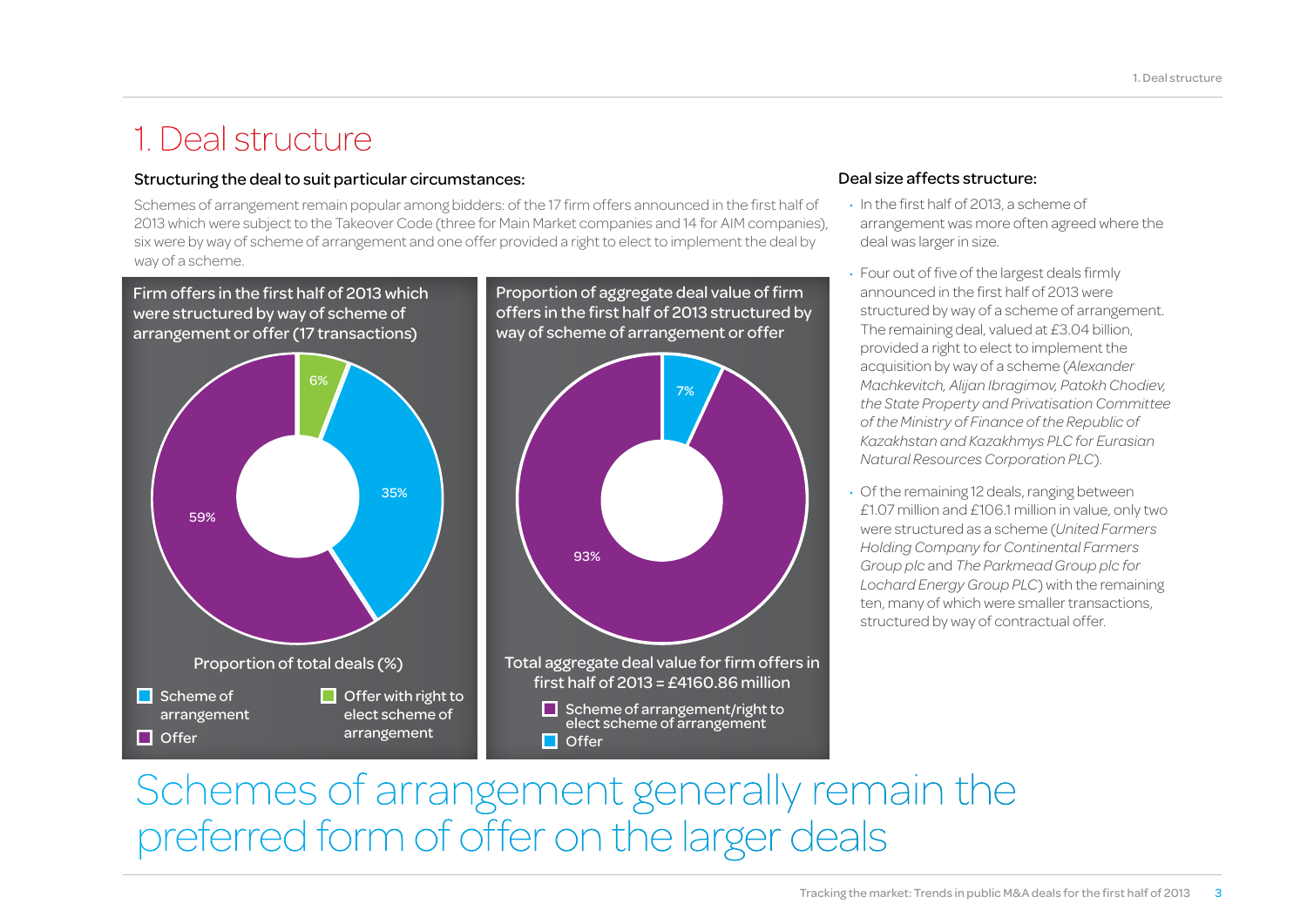### 1. Deal structure

#### Structuring the deal to suit particular circumstances:

Schemes of arrangement remain popular among bidders: of the 17 firm offers announced in the first half of 2013 which were subject to the Takeover Code (three for Main Market companies and 14 for AIM companies), six were by way of scheme of arrangement and one offer provided a right to elect to implement the deal by way of a scheme.



#### Deal size affects structure:

- In the first half of 2013, a scheme of arrangement was more often agreed where the deal was larger in size.
- Four out of five of the largest deals firmly announced in the first half of 2013 were structured by way of a scheme of arrangement. The remaining deal, valued at £3.04 billion, provided a right to elect to implement the acquisition by way of a scheme (*Alexander Machkevitch, Alijan Ibragimov, Patokh Chodiev, the State Property and Privatisation Committee of the Ministry of Finance of the Republic of Kazakhstan and Kazakhmys PLC for Eurasian Natural Resources Corporation PLC*).
- Of the remaining 12 deals, ranging between £1.07 million and £106.1 million in value, only two were structured as a scheme (*United Farmers Holding Company for Continental Farmers Group plc* and *The Parkmead Group plc for Lochard Energy Group PLC*) with the remaining ten, many of which were smaller transactions, structured by way of contractual offer.

## Schemes of arrangement generally remain the preferred form of offer on the larger deals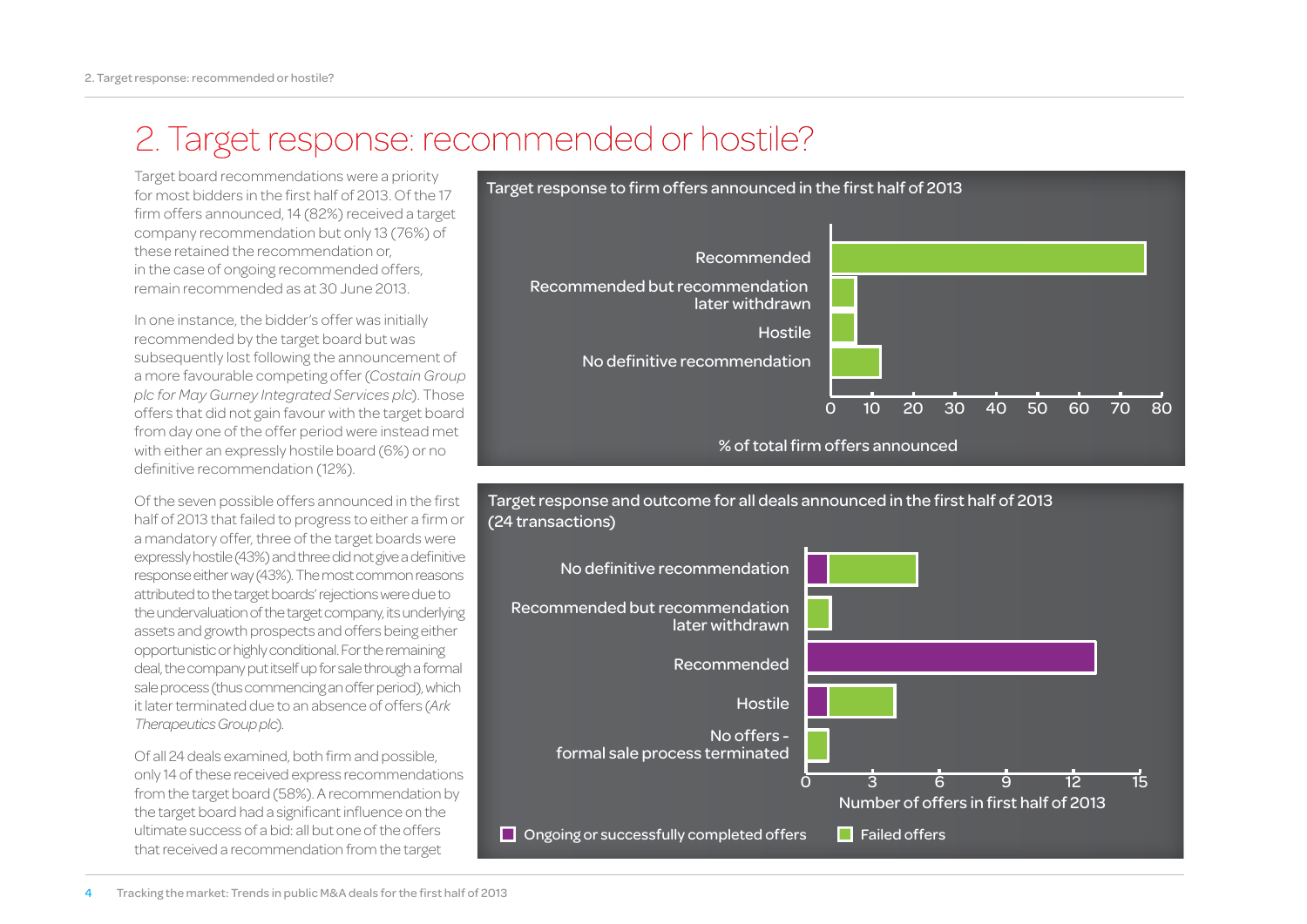### 2. Target response: recommended or hostile?

for most bidders in the first half of 2013. Of the 17 firm offers announced, 14 (82%) received a target company recommendation but only 13 (76%) of these retained the recommendation or, in the case of ongoing recommended offers, remain recommended as at 30 June 2013.

In one instance, the bidder's offer was initially recommended by the target board but was subsequently lost following the announcement of a more favourable competing offer (*Costain Group plc for May Gurney Integrated Services plc*). Those offers that did not gain favour with the target board from day one of the offer period were instead met with either an expressly hostile board (6%) or no definitive recommendation (12%).

Of the seven possible offers announced in the first half of 2013 that failed to progress to either a firm or a mandatory offer, three of the target boards were expressly hostile (43%) and three did not give a definitive response either way (43%). The most common reasons attributed to the target boards' rejections were due to the undervaluation of the target company, its underlying assets and growth prospects and offers being either opportunistic or highly conditional. For the remaining deal, the company put itself up for sale through a formal sale process (thus commencing an offer period), which it later terminated due to an absence of offers (*Ark Therapeutics Group plc*).

Of all 24 deals examined, both firm and possible, only 14 of these received express recommendations from the target board (58%). A recommendation by the target board had a significant influence on the ultimate success of a bid: all but one of the offers that received a recommendation from the target





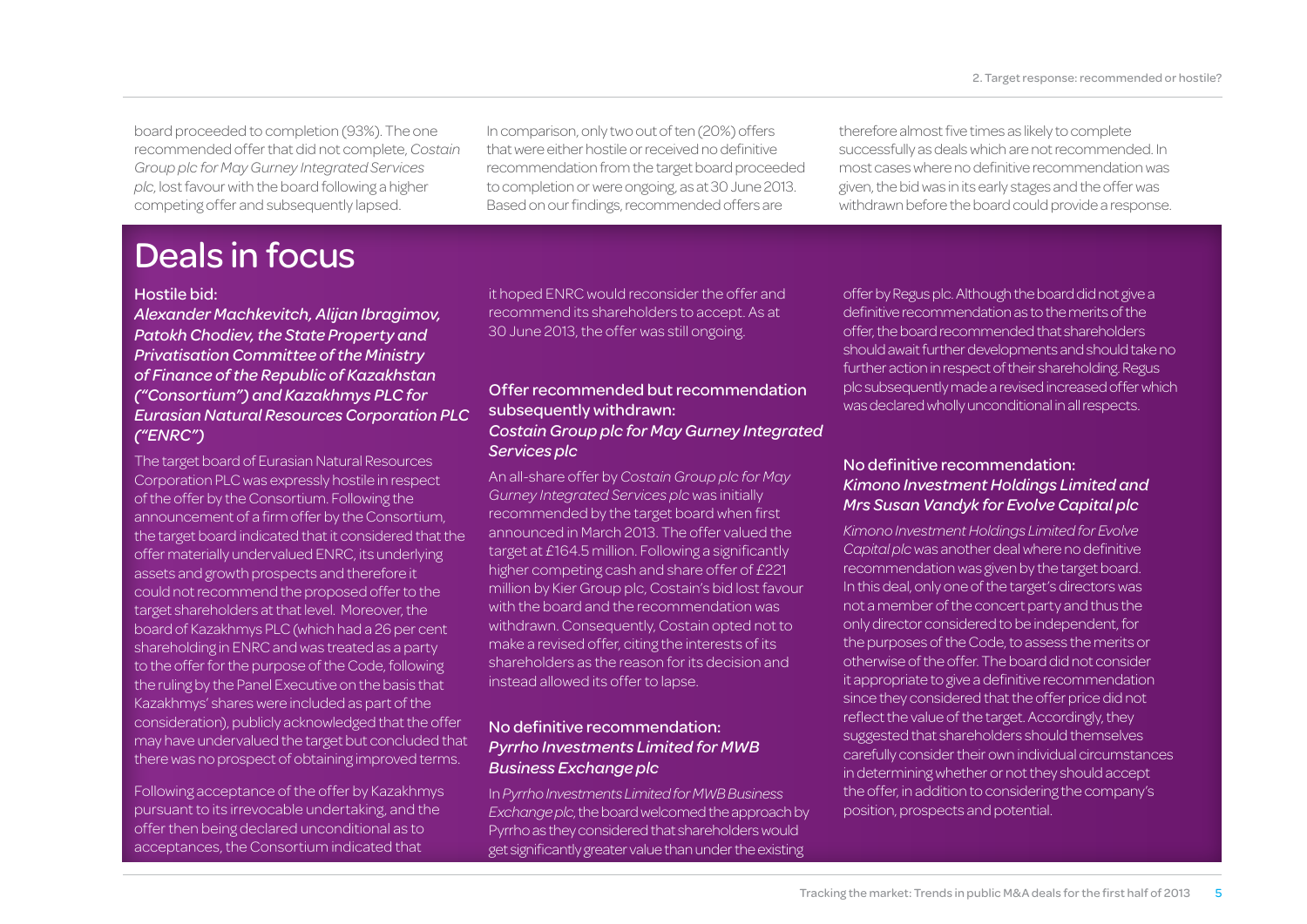board proceeded to completion (93%). The one recommended offer that did not complete, *Costain Group plc for May Gurney Integrated Services plc*, lost favour with the board following a higher competing offer and subsequently lapsed.

In comparison, only two out of ten (20%) offers that were either hostile or received no definitive recommendation from the target board proceeded to completion or were ongoing, as at 30 June 2013. Based on our findings, recommended offers are

therefore almost five times as likely to complete successfully as deals which are not recommended. In most cases where no definitive recommendation was given, the bid was in its early stages and the offer was withdrawn before the board could provide a response.

### Deals in focus

#### Hostile bid:

#### *Alexander Machkevitch, Alijan Ibragimov, Patokh Chodiev, the State Property and Privatisation Committee of the Ministry of Finance of the Republic of Kazakhstan ("Consortium") and Kazakhmys PLC for Eurasian Natural Resources Corporation PLC ("ENRC")*

The target board of Eurasian Natural Resources Corporation PLC was expressly hostile in respect of the offer by the Consortium. Following the announcement of a firm offer by the Consortium, the target board indicated that it considered that the offer materially undervalued ENRC, its underlying assets and growth prospects and therefore it could not recommend the proposed offer to the target shareholders at that level. Moreover, the board of Kazakhmys PLC (which had a 26 per cent shareholding in ENRC and was treated as a party to the offer for the purpose of the Code, following the ruling by the Panel Executive on the basis that Kazakhmys' shares were included as part of the consideration), publicly acknowledged that the offer may have undervalued the target but concluded that there was no prospect of obtaining improved terms.

Following acceptance of the offer by Kazakhmys pursuant to its irrevocable undertaking, and the offer then being declared unconditional as to acceptances, the Consortium indicated that

it hoped ENRC would reconsider the offer and recommend its shareholders to accept. As at 30 June 2013, the offer was still ongoing.

#### Offer recommended but recommendation subsequently withdrawn: *Costain Group plc for May Gurney Integrated Services plc*

An all-share offer by *Costain Group plc for May Gurney Integrated Services plc* was initially recommended by the target board when first announced in March 2013. The offer valued the target at £164.5 million. Following a significantly higher competing cash and share offer of £221 million by Kier Group plc, Costain's bid lost favour with the board and the recommendation was withdrawn. Consequently, Costain opted not to make a revised offer, citing the interests of its shareholders as the reason for its decision and instead allowed its offer to lapse.

#### No definitive recommendation: *Pyrrho Investments Limited for MWB Business Exchange plc*

In *Pyrrho Investments Limited for MWB Business Exchange plc*, the board welcomed the approach by Pyrrho as they considered that shareholders would get significantly greater value than under the existing

offer by Regus plc. Although the board did not give a definitive recommendation as to the merits of the offer, the board recommended that shareholders should await further developments and should take no further action in respect of their shareholding. Regus plc subsequently made a revised increased offer which was declared wholly unconditional in all respects.

#### No definitive recommendation: *Kimono Investment Holdings Limited and Mrs Susan Vandyk for Evolve Capital plc*

*Kimono Investment Holdings Limited for Evolve Capital plc* was another deal where no definitive recommendation was given by the target board. In this deal, only one of the target's directors was not a member of the concert party and thus the only director considered to be independent, for the purposes of the Code, to assess the merits or otherwise of the offer. The board did not consider it appropriate to give a definitive recommendation since they considered that the offer price did not reflect the value of the target. Accordingly, they suggested that shareholders should themselves carefully consider their own individual circumstances in determining whether or not they should accept the offer, in addition to considering the company's position, prospects and potential.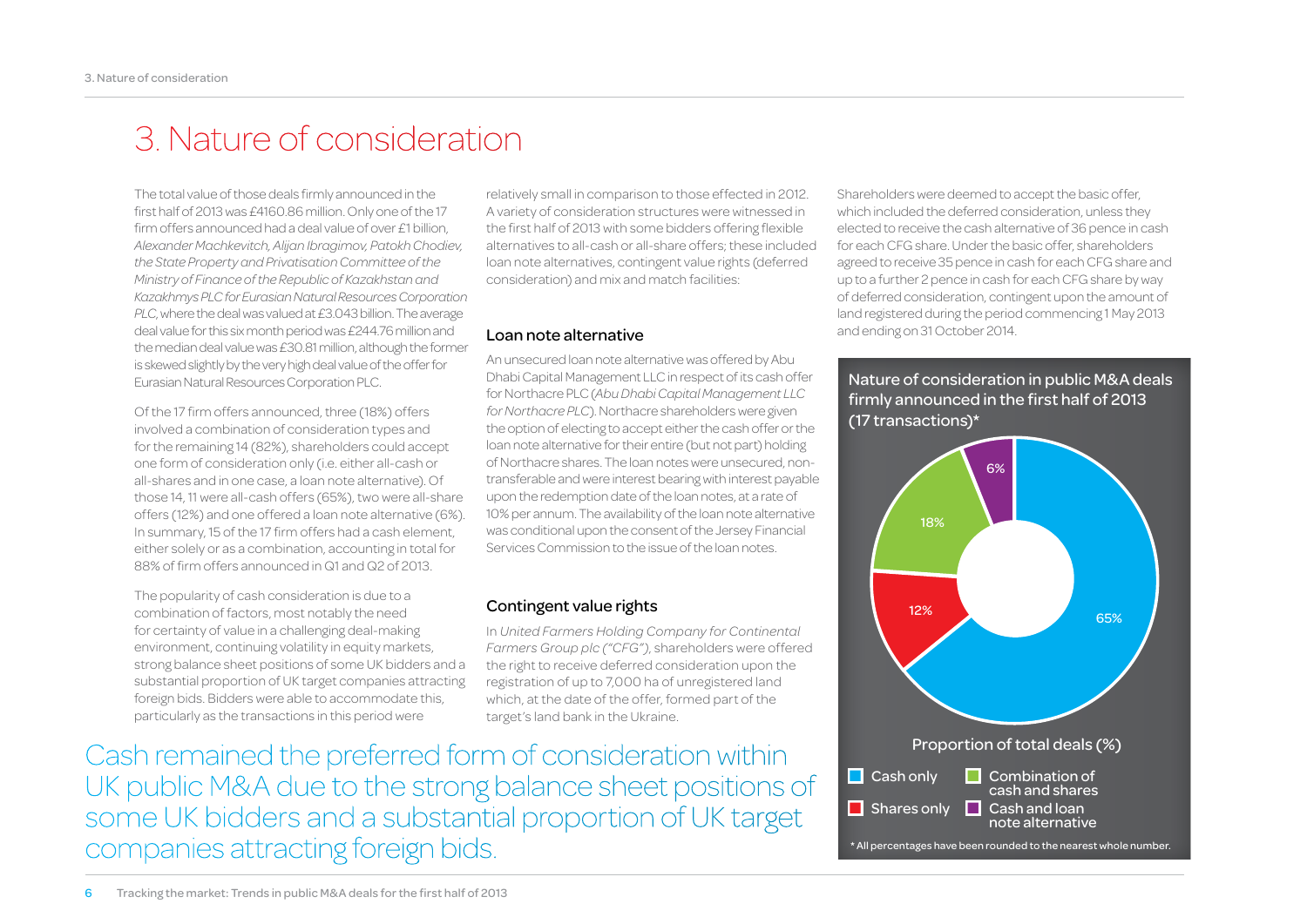### 3. Nature of consideration

The total value of those deals firmly announced in the first half of 2013 was £4160.86 million. Only one of the 17 firm offers announced had a deal value of over £1 billion, *Alexander Machkevitch, Alijan Ibragimov, Patokh Chodiev, the State Property and Privatisation Committee of the Ministry of Finance of the Republic of Kazakhstan and Kazakhmys PLC for Eurasian Natural Resources Corporation PLC*, where the deal was valued at £3.043 billion. The average deal value for this six month period was £244.76 million and the median deal value was £30.81 million, although the former is skewed slightly by the very high deal value of the offer for Eurasian Natural Resources Corporation PLC.

Of the 17 firm offers announced, three (18%) offers involved a combination of consideration types and for the remaining 14 (82%), shareholders could accept one form of consideration only (i.e. either all-cash or all-shares and in one case, a loan note alternative). Of those 14, 11 were all-cash offers (65%), two were all-share offers (12%) and one offered a loan note alternative (6%). In summary, 15 of the 17 firm offers had a cash element, either solely or as a combination, accounting in total for 88% of firm offers announced in Q1 and Q2 of 2013.

The popularity of cash consideration is due to a combination of factors, most notably the need for certainty of value in a challenging deal-making environment, continuing volatility in equity markets, strong balance sheet positions of some UK bidders and a substantial proportion of UK target companies attracting foreign bids. Bidders were able to accommodate this, particularly as the transactions in this period were

relatively small in comparison to those effected in 2012. A variety of consideration structures were witnessed in the first half of 2013 with some bidders offering flexible alternatives to all-cash or all-share offers; these included loan note alternatives, contingent value rights (deferred consideration) and mix and match facilities:

#### Loan note alternative

An unsecured loan note alternative was offered by Abu Dhabi Capital Management LLC in respect of its cash offer for Northacre PLC (*Abu Dhabi Capital Management LLC for Northacre PLC*). Northacre shareholders were given the option of electing to accept either the cash offer or the loan note alternative for their entire (but not part) holding of Northacre shares. The loan notes were unsecured, nontransferable and were interest bearing with interest payable upon the redemption date of the loan notes, at a rate of 10% per annum. The availability of the loan note alternative was conditional upon the consent of the Jersey Financial Services Commission to the issue of the loan notes.

#### Contingent value rights

In *United Farmers Holding Company for Continental Farmers Group plc ("CFG")*, shareholders were offered the right to receive deferred consideration upon the registration of up to 7,000 ha of unregistered land which, at the date of the offer, formed part of the target's land bank in the Ukraine.

Cash remained the preferred form of consideration within UK public M&A due to the strong balance sheet positions of some UK bidders and a substantial proportion of UK target companies attracting foreign bids.

Shareholders were deemed to accept the basic offer, which included the deferred consideration, unless they elected to receive the cash alternative of 36 pence in cash for each CFG share. Under the basic offer, shareholders agreed to receive 35 pence in cash for each CFG share and up to a further 2 pence in cash for each CFG share by way of deferred consideration, contingent upon the amount of land registered during the period commencing 1 May 2013 and ending on 31 October 2014.



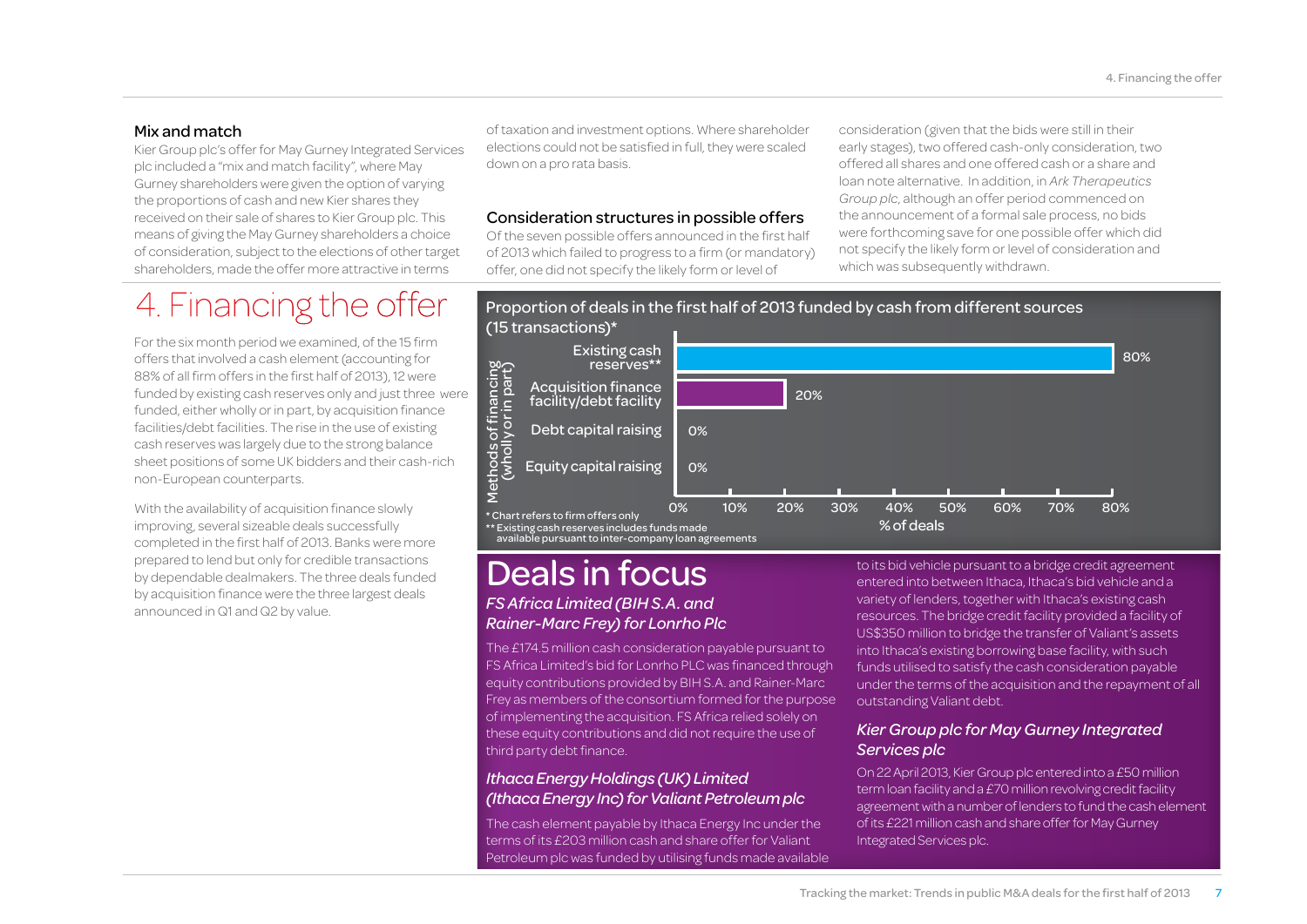#### Mix and match

Kier Group plc's offer for May Gurney Integrated Services plc included a "mix and match facility", where May Gurney shareholders were given the option of varying the proportions of cash and new Kier shares they received on their sale of shares to Kier Group plc. This means of giving the May Gurney shareholders a choice of consideration, subject to the elections of other target shareholders, made the offer more attractive in terms

### 4. Financing the offer

For the six month period we examined, of the 15 firm offers that involved a cash element (accounting for 88% of all firm offers in the first half of 2013), 12 were funded by existing cash reserves only and just three were funded, either wholly or in part, by acquisition finance facilities/debt facilities. The rise in the use of existing cash reserves was largely due to the strong balance sheet positions of some UK bidders and their cash-rich non-European counterparts.

With the availability of acquisition finance slowly improving, several sizeable deals successfully completed in the first half of 2013. Banks were more prepared to lend but only for credible transactions by dependable dealmakers. The three deals funded by acquisition finance were the three largest deals announced in Q1 and Q2 by value.

of taxation and investment options. Where shareholder elections could not be satisfied in full, they were scaled down on a pro rata basis.

#### Consideration structures in possible offers

Of the seven possible offers announced in the first half of 2013 which failed to progress to a firm (or mandatory) offer, one did not specify the likely form or level of

consideration (given that the bids were still in their early stages), two offered cash-only consideration, two offered all shares and one offered cash or a share and loan note alternative. In addition, in *Ark Therapeutics Group plc*, although an offer period commenced on the announcement of a formal sale process, no bids were forthcoming save for one possible offer which did not specify the likely form or level of consideration and which was subsequently withdrawn.



### *FS Africa Limited (BIH S.A. and Rainer-Marc Frey) for Lonrho Plc* Deals in focus

The £174.5 million cash consideration payable pursuant to FS Africa Limited's bid for Lonrho PLC was financed through equity contributions provided by BIH S.A. and Rainer-Marc Frey as members of the consortium formed for the purpose of implementing the acquisition. FS Africa relied solely on these equity contributions and did not require the use of third party debt finance.

#### *Ithaca Energy Holdings (UK) Limited (Ithaca Energy Inc) for Valiant Petroleum plc*

The cash element payable by Ithaca Energy Inc under the terms of its £203 million cash and share offer for Valiant Petroleum plc was funded by utilising funds made available

to its bid vehicle pursuant to a bridge credit agreement entered into between Ithaca, Ithaca's bid vehicle and a variety of lenders, together with Ithaca's existing cash resources. The bridge credit facility provided a facility of US\$350 million to bridge the transfer of Valiant's assets into Ithaca's existing borrowing base facility, with such funds utilised to satisfy the cash consideration payable under the terms of the acquisition and the repayment of all outstanding Valiant debt.

#### *Kier Group plc for May Gurney Integrated Services plc*

On 22 April 2013, Kier Group plc entered into a £50 million term loan facility and a £70 million revolving credit facility agreement with a number of lenders to fund the cash element of its £221 million cash and share offer for May Gurney Integrated Services plc.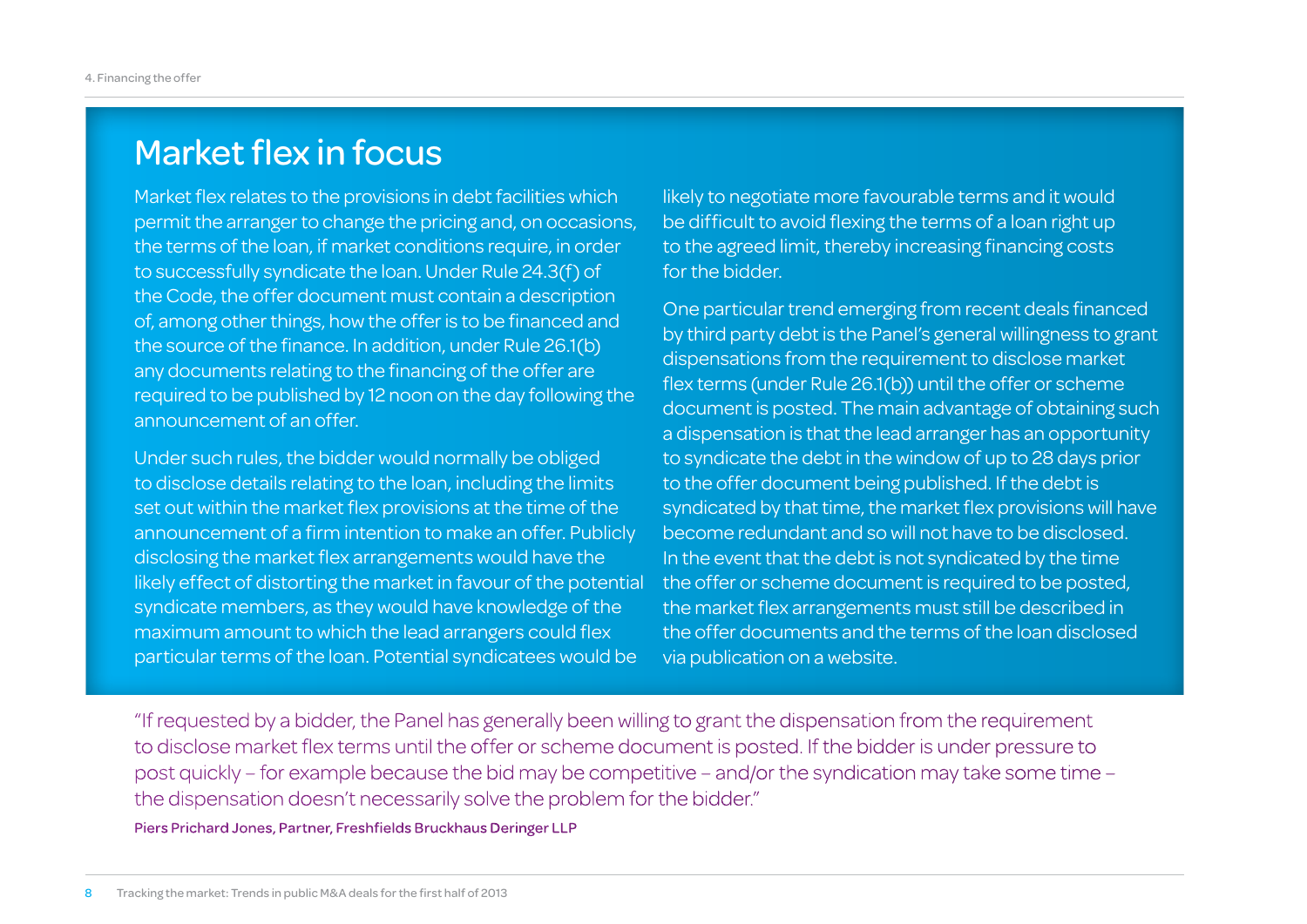### Market flex in focus

Market flex relates to the provisions in debt facilities which permit the arranger to change the pricing and, on occasions, the terms of the loan, if market conditions require, in order to successfully syndicate the loan. Under Rule 24.3(f) of the Code, the offer document must contain a description of, among other things, how the offer is to be financed and the source of the finance. In addition, under Rule 26.1(b) any documents relating to the financing of the offer are required to be published by 12 noon on the day following the announcement of an offer.

Under such rules, the bidder would normally be obliged to disclose details relating to the loan, including the limits set out within the market flex provisions at the time of the announcement of a firm intention to make an offer. Publicly disclosing the market flex arrangements would have the likely effect of distorting the market in favour of the potential syndicate members, as they would have knowledge of the maximum amount to which the lead arrangers could flex particular terms of the loan. Potential syndicatees would be

likely to negotiate more favourable terms and it would be difficult to avoid flexing the terms of a loan right up to the agreed limit, thereby increasing financing costs for the bidder.

One particular trend emerging from recent deals financed by third party debt is the Panel's general willingness to grant dispensations from the requirement to disclose market flex terms (under Rule 26.1(b)) until the offer or scheme document is posted. The main advantage of obtaining such a dispensation is that the lead arranger has an opportunity to syndicate the debt in the window of up to 28 days prior to the offer document being published. If the debt is syndicated by that time, the market flex provisions will have become redundant and so will not have to be disclosed. In the event that the debt is not syndicated by the time the offer or scheme document is required to be posted, the market flex arrangements must still be described in the offer documents and the terms of the loan disclosed via publication on a website.

"If requested by a bidder, the Panel has generally been willing to grant the dispensation from the requirement to disclose market flex terms until the offer or scheme document is posted. If the bidder is under pressure to post quickly – for example because the bid may be competitive – and/or the syndication may take some time – the dispensation doesn't necessarily solve the problem for the bidder."

Piers Prichard Jones, Partner, Freshfields Bruckhaus Deringer LLP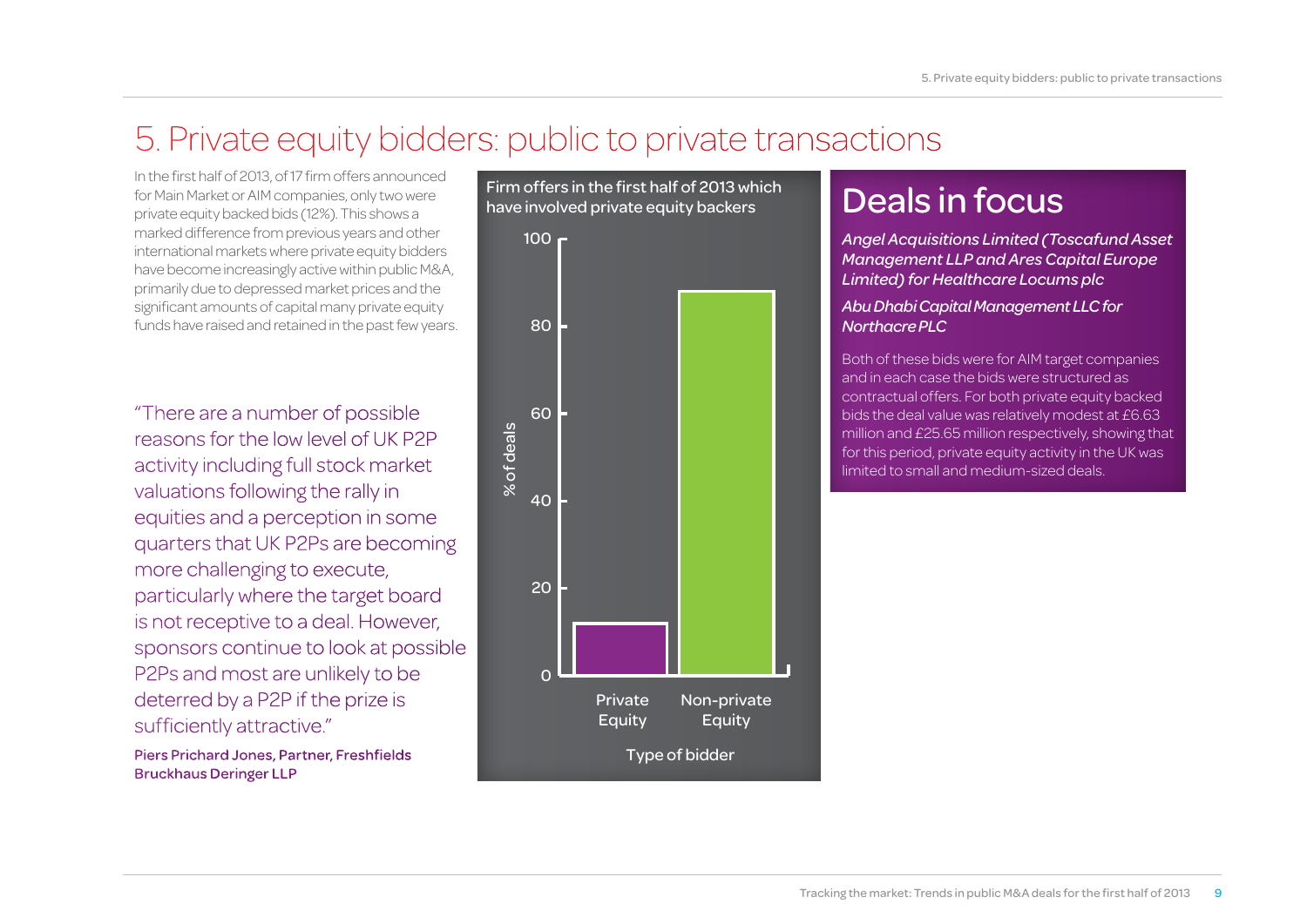### 5. Private equity bidders: public to private transactions

In the first half of 2013, of 17 firm offers announced for Main Market or AIM companies, only two were private equity backed bids (12%). This shows a marked difference from previous years and other international markets where private equity bidders have become increasingly active within public M&A, primarily due to depressed market prices and the significant amounts of capital many private equity funds have raised and retained in the past few years.

"There are a number of possible reasons for the low level of UK P2P activity including full stock market valuations following the rally in equities and a perception in some quarters that UK P2Ps are becoming more challenging to execute, particularly where the target board is not receptive to a deal. However, sponsors continue to look at possible P2Ps and most are unlikely to be deterred by a P2P if the prize is sufficiently attractive."

Piers Prichard Jones, Partner, Freshfields Bruckhaus Deringer LLP



### Deals in focus

*Angel Acquisitions Limited (Toscafund Asset Management LLP and Ares Capital Europe Limited) for Healthcare Locums plc*

#### *Abu Dhabi Capital Management LLC for Northacre PLC*

Both of these bids were for AIM target companies and in each case the bids were structured as contractual offers. For both private equity backed bids the deal value was relatively modest at £6.63 million and £25.65 million respectively, showing that for this period, private equity activity in the UK was limited to small and medium-sized deals.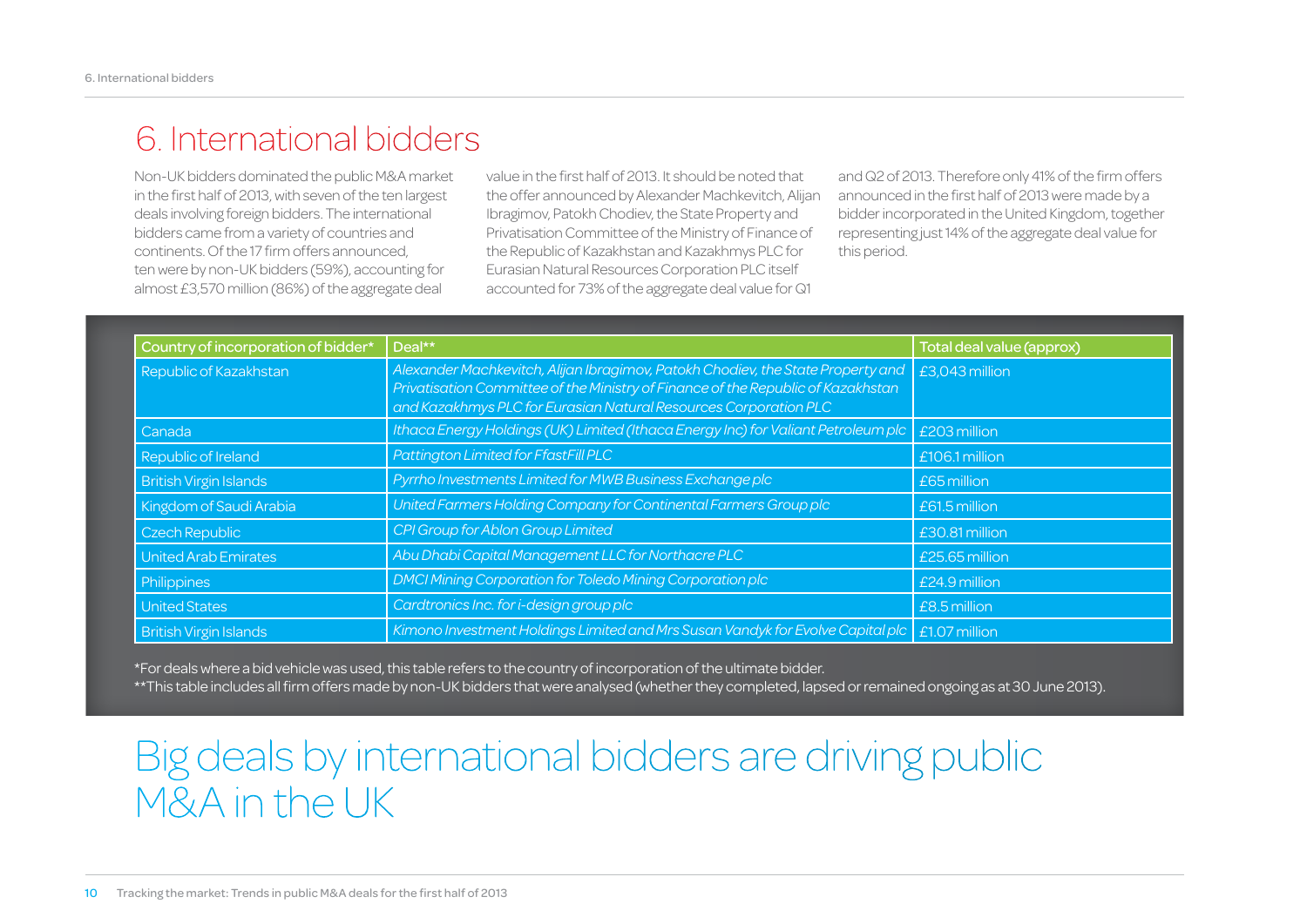### 6. International bidders

Non-UK bidders dominated the public M&A market in the first half of 2013, with seven of the ten largest deals involving foreign bidders. The international bidders came from a variety of countries and continents. Of the 17 firm offers announced, ten were by non-UK bidders (59%), accounting for almost £3,570 million (86%) of the aggregate deal

value in the first half of 2013. It should be noted that the offer announced by Alexander Machkevitch, Alijan Ibragimov, Patokh Chodiev, the State Property and Privatisation Committee of the Ministry of Finance of the Republic of Kazakhstan and Kazakhmys PLC for Eurasian Natural Resources Corporation PLC itself accounted for 73% of the aggregate deal value for Q1

and Q2 of 2013. Therefore only 41% of the firm offers announced in the first half of 2013 were made by a bidder incorporated in the United Kingdom, together representing just 14% of the aggregate deal value for this period.

| Country of incorporation of bidder* | Deal**                                                                                                                                                                                                                                  | Total deal value (approx) |
|-------------------------------------|-----------------------------------------------------------------------------------------------------------------------------------------------------------------------------------------------------------------------------------------|---------------------------|
| Republic of Kazakhstan              | Alexander Machkevitch, Alijan Ibragimov, Patokh Chodiev, the State Property and<br>Privatisation Committee of the Ministry of Finance of the Republic of Kazakhstan<br>and Kazakhmys PLC for Eurasian Natural Resources Corporation PLC | £3,043 million            |
| Canada                              | Ithaca Energy Holdings (UK) Limited (Ithaca Energy Inc) for Valiant Petroleum plc                                                                                                                                                       | £203 million              |
| Republic of Ireland                 | Pattington Limited for FfastFill PLC                                                                                                                                                                                                    | $£106.1$ million          |
| <b>British Virgin Islands</b>       | Pyrrho Investments Limited for MWB Business Exchange plc                                                                                                                                                                                | £65 million               |
| Kingdom of Saudi Arabia             | United Farmers Holding Company for Continental Farmers Group plc                                                                                                                                                                        | £61.5 million             |
| Czech Republic                      | CPI Group for Ablon Group Limited                                                                                                                                                                                                       | £30.81 million            |
| United Arab Emirates                | Abu Dhabi Capital Management LLC for Northacre PLC                                                                                                                                                                                      | £25.65 million            |
| Philippines                         | DMCI Mining Corporation for Toledo Mining Corporation plc                                                                                                                                                                               | $E24.9$ million           |
| <b>United States</b>                | Cardtronics Inc. for i-design group plc                                                                                                                                                                                                 | £8.5 million              |
| <b>British Virgin Islands</b>       | Kimono Investment Holdings Limited and Mrs Susan Vandyk for Evolve Capital plc                                                                                                                                                          | £1.07 million             |

\*For deals where a bid vehicle was used, this table refers to the country of incorporation of the ultimate bidder.

\*\*This table includes all firm offers made by non-UK bidders that were analysed (whether they completed, lapsed or remained ongoing as at 30 June 2013).

## Big deals by international bidders are driving public M&A in the UK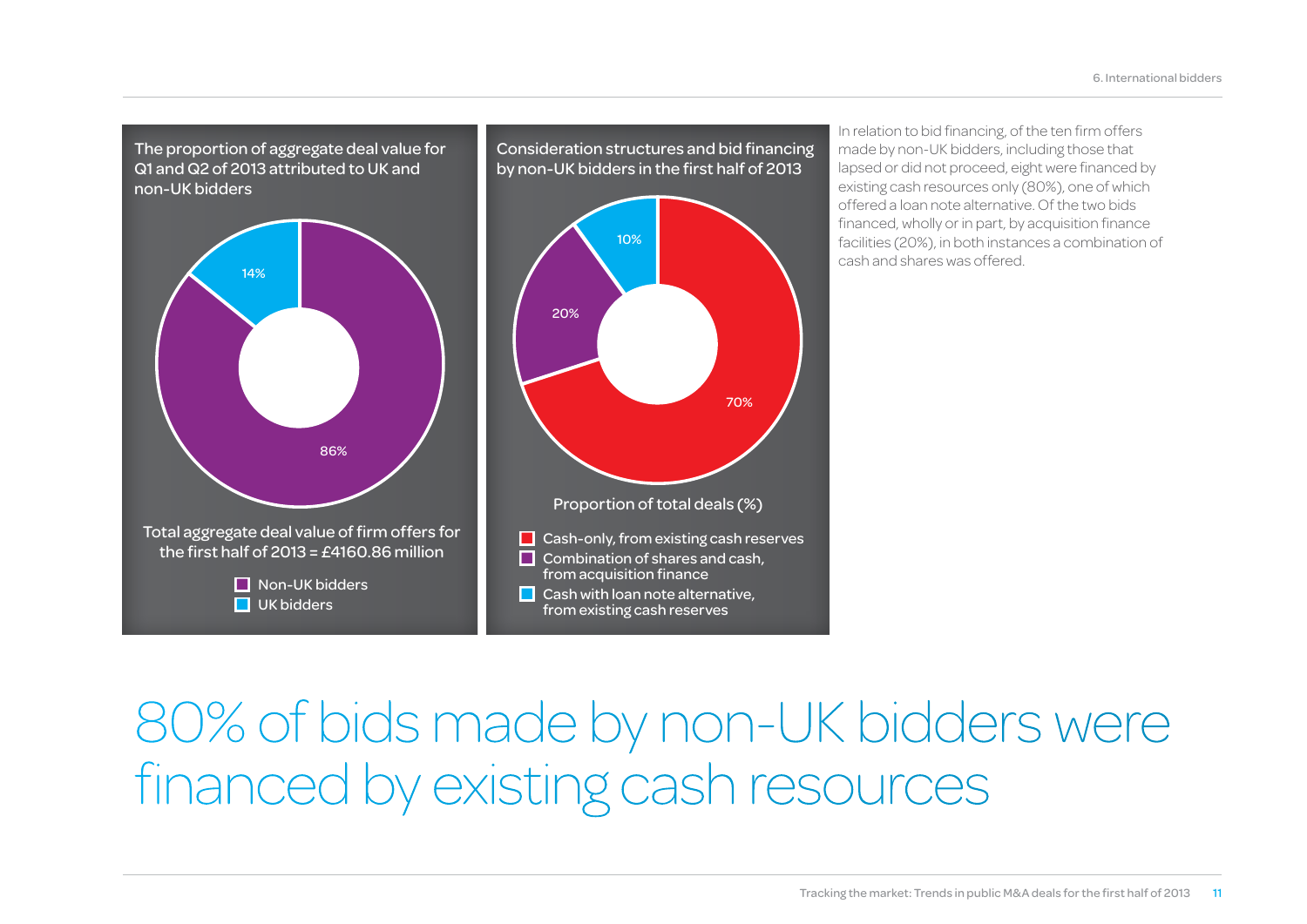The proportion of aggregate deal value for Q1 and Q2 of 2013 attributed to UK and non-UK bidders



Consideration structures and bid financing by non-UK bidders in the first half of 2013  $\Box$  Cash-only, from existing cash reserves  $\Box$  Combination of shares and cash, from acquisition finance  $\Box$  Cash with loan note alternative, from existing cash reserves 10% 70% 20% Proportion of total deals (%)

In relation to bid financing, of the ten firm offers made by non-UK bidders, including those that lapsed or did not proceed, eight were financed by existing cash resources only (80%), one of which offered a loan note alternative. Of the two bids financed, wholly or in part, by acquisition finance facilities (20%), in both instances a combination of cash and shares was offered.

## 80% of bids made by non-UK bidders were financed by existing cash resources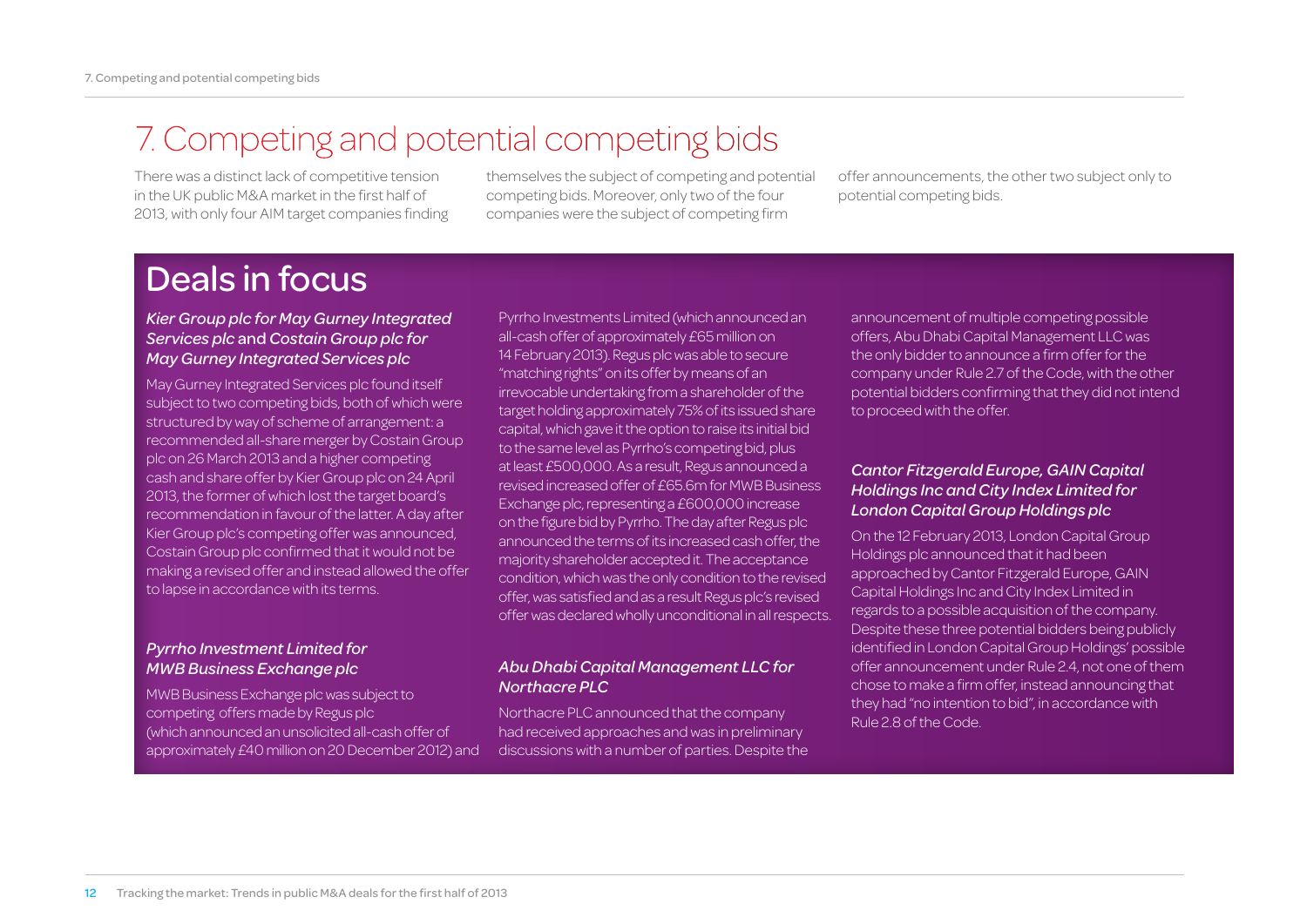### 7. Competing and potential competing bids

There was a distinct lack of competitive tension in the UK public M&A market in the first half of 2013, with only four AIM target companies finding themselves the subject of competing and potential competing bids. Moreover, only two of the four companies were the subject of competing firm

offer announcements, the other two subject only to potential competing bids.

### Deals in focus

#### *Kier Group plc for May Gurney Integrated Services plc* and *Costain Group plc for May Gurney Integrated Services plc*

May Gurney Integrated Services plc found itself subject to two competing bids, both of which were structured by way of scheme of arrangement: a recommended all-share merger by Costain Group plc on 26 March 2013 and a higher competing cash and share offer by Kier Group plc on 24 April 2013, the former of which lost the target board's recommendation in favour of the latter. A day after Kier Group plc's competing offer was announced, Costain Group plc confirmed that it would not be making a revised offer and instead allowed the offer to lapse in accordance with its terms.

#### *Pyrrho Investment Limited for MWB Business Exchange plc*

MWB Business Exchange plc was subject to competing offers made by Regus plc (which announced an unsolicited all-cash offer of approximately £40 million on 20 December 2012) and

Pyrrho Investments Limited (which announced an all-cash offer of approximately £65 million on 14 February 2013). Regus plc was able to secure "matching rights" on its offer by means of an irrevocable undertaking from a shareholder of the target holding approximately 75% of its issued share capital, which gave it the option to raise its initial bid to the same level as Pyrrho's competing bid, plus at least £500,000. As a result, Regus announced a revised increased offer of £65.6m for MWB Business Exchange plc, representing a £600,000 increase on the figure bid by Pyrrho. The day after Regus plc announced the terms of its increased cash offer, the majority shareholder accepted it. The acceptance condition, which was the only condition to the revised offer, was satisfied and as a result Regus plc's revised offer was declared wholly unconditional in all respects.

#### *Abu Dhabi Capital Management LLC for Northacre PLC*

Northacre PLC announced that the company had received approaches and was in preliminary discussions with a number of parties. Despite the announcement of multiple competing possible offers, Abu Dhabi Capital Management LLC was the only bidder to announce a firm offer for the company under Rule 2.7 of the Code, with the other potential bidders confirming that they did not intend to proceed with the offer.

#### *Cantor Fitzgerald Europe, GAIN Capital Holdings Inc and City Index Limited for London Capital Group Holdings plc*

On the 12 February 2013, London Capital Group Holdings plc announced that it had been approached by Cantor Fitzgerald Europe, GAIN Capital Holdings Inc and City Index Limited in regards to a possible acquisition of the company. Despite these three potential bidders being publicly identified in London Capital Group Holdings' possible offer announcement under Rule 2.4, not one of them chose to make a firm offer, instead announcing that they had "no intention to bid", in accordance with Rule 2.8 of the Code.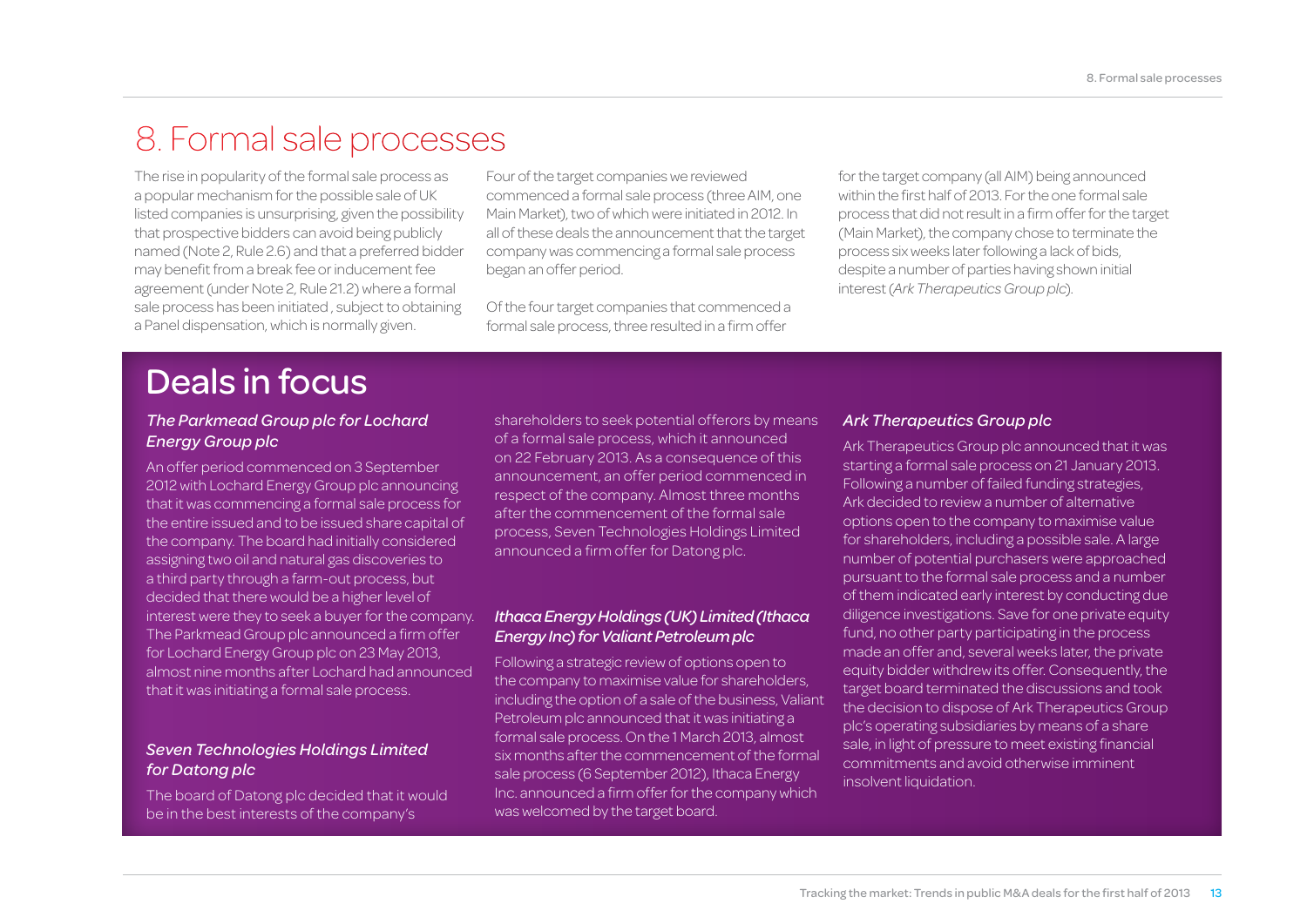### 8. Formal sale processes

The rise in popularity of the formal sale process as a popular mechanism for the possible sale of UK listed companies is unsurprising, given the possibility that prospective bidders can avoid being publicly named (Note 2, Rule 2.6) and that a preferred bidder may benefit from a break fee or inducement fee agreement (under Note 2, Rule 21.2) where a formal sale process has been initiated , subject to obtaining a Panel dispensation, which is normally given.

Four of the target companies we reviewed commenced a formal sale process (three AIM, one Main Market), two of which were initiated in 2012. In all of these deals the announcement that the target company was commencing a formal sale process began an offer period.

Of the four target companies that commenced a formal sale process, three resulted in a firm offer

for the target company (all AIM) being announced within the first half of 2013. For the one formal sale process that did not result in a firm offer for the target (Main Market), the company chose to terminate the process six weeks later following a lack of bids, despite a number of parties having shown initial interest (*Ark Therapeutics Group plc*).

### Deals in focus

#### *The Parkmead Group plc for Lochard Energy Group plc*

An offer period commenced on 3 September 2012 with Lochard Energy Group plc announcing that it was commencing a formal sale process for the entire issued and to be issued share capital of the company. The board had initially considered assigning two oil and natural gas discoveries to a third party through a farm-out process, but decided that there would be a higher level of interest were they to seek a buyer for the company. The Parkmead Group plc announced a firm offer for Lochard Energy Group plc on 23 May 2013, almost nine months after Lochard had announced that it was initiating a formal sale process.

#### *Seven Technologies Holdings Limited for Datong plc*

The board of Datong plc decided that it would be in the best interests of the company's

shareholders to seek potential offerors by means of a formal sale process, which it announced on 22 February 2013. As a consequence of this announcement, an offer period commenced in respect of the company. Almost three months after the commencement of the formal sale process, Seven Technologies Holdings Limited announced a firm offer for Datong plc.

#### *Ithaca Energy Holdings (UK) Limited (Ithaca Energy Inc) for Valiant Petroleum plc*

Following a strategic review of options open to the company to maximise value for shareholders, including the option of a sale of the business, Valiant Petroleum plc announced that it was initiating a formal sale process. On the 1 March 2013, almost six months after the commencement of the formal sale process (6 September 2012), Ithaca Energy Inc. announced a firm offer for the company which was welcomed by the target board.

#### *Ark Therapeutics Group plc*

Ark Therapeutics Group plc announced that it was starting a formal sale process on 21 January 2013. Following a number of failed funding strategies, Ark decided to review a number of alternative options open to the company to maximise value for shareholders, including a possible sale. A large number of potential purchasers were approached pursuant to the formal sale process and a number of them indicated early interest by conducting due diligence investigations. Save for one private equity fund, no other party participating in the process made an offer and, several weeks later, the private equity bidder withdrew its offer. Consequently, the target board terminated the discussions and took the decision to dispose of Ark Therapeutics Group plc's operating subsidiaries by means of a share sale, in light of pressure to meet existing financial commitments and avoid otherwise imminent insolvent liquidation.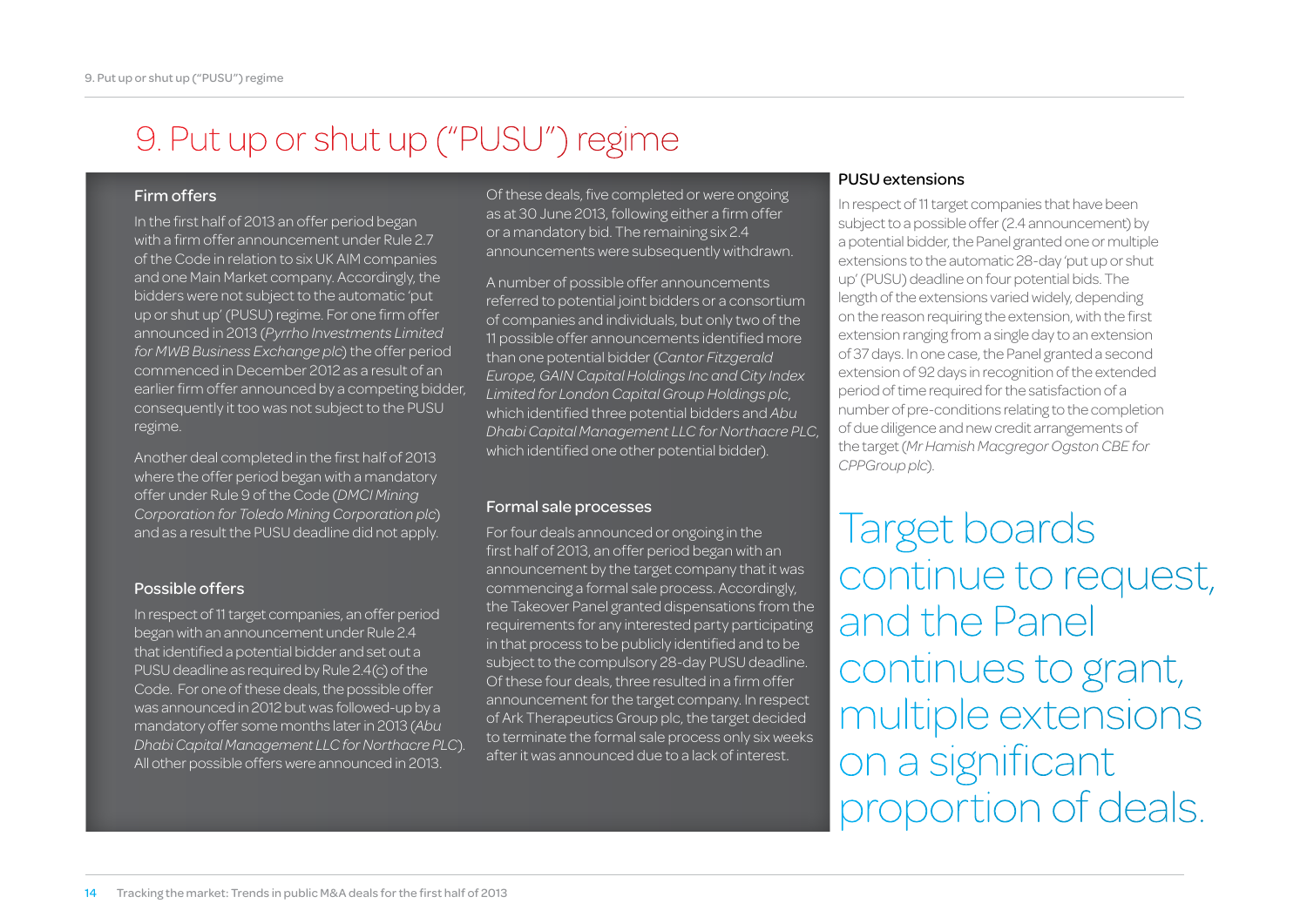### 9. Put up or shut up ("PUSU") regime

#### Firm offers

In the first half of 2013 an offer period began with a firm offer announcement under Rule 2.7 of the Code in relation to six UK AIM companies and one Main Market company. Accordingly, the bidders were not subject to the automatic 'put up or shut up' (PUSU) regime. For one firm offer announced in 2013 (*Pyrrho Investments Limited for MWB Business Exchange plc*) the offer period commenced in December 2012 as a result of an earlier firm offer announced by a competing bidder, consequently it too was not subject to the PUSU regime.

Another deal completed in the first half of 2013 where the offer period began with a mandatory offer under Rule 9 of the Code (*DMCI Mining Corporation for Toledo Mining Corporation plc*) and as a result the PUSU deadline did not apply.

#### Possible offers

In respect of 11 target companies, an offer period began with an announcement under Rule 2.4 that identified a potential bidder and set out a PUSU deadline as required by Rule 2.4(c) of the Code. For one of these deals, the possible offer was announced in 2012 but was followed-up by a mandatory offer some months later in 2013 (*Abu Dhabi Capital Management LLC for Northacre PLC*). All other possible offers were announced in 2013.

Of these deals, five completed or were ongoing as at 30 June 2013, following either a firm offer or a mandatory bid. The remaining six 2.4 announcements were subsequently withdrawn.

A number of possible offer announcements referred to potential joint bidders or a consortium of companies and individuals, but only two of the 11 possible offer announcements identified more than one potential bidder (*Cantor Fitzgerald Europe, GAIN Capital Holdings Inc and City Index Limited for London Capital Group Holdings plc*, which identified three potential bidders and *Abu Dhabi Capital Management LLC for Northacre PLC*, which identified one other potential bidder).

#### Formal sale processes

For four deals announced or ongoing in the first half of 2013, an offer period began with an announcement by the target company that it was commencing a formal sale process. Accordingly, the Takeover Panel granted dispensations from the requirements for any interested party participating in that process to be publicly identified and to be subject to the compulsory 28-day PUSU deadline. Of these four deals, three resulted in a firm offer announcement for the target company. In respect of Ark Therapeutics Group plc, the target decided to terminate the formal sale process only six weeks after it was announced due to a lack of interest.

#### PUSU extensions

In respect of 11 target companies that have been subject to a possible offer (2.4 announcement) by a potential bidder, the Panel granted one or multiple extensions to the automatic 28-day 'put up or shut up' (PUSU) deadline on four potential bids. The length of the extensions varied widely, depending on the reason requiring the extension, with the first extension ranging from a single day to an extension of 37 days. In one case, the Panel granted a second extension of 92 days in recognition of the extended period of time required for the satisfaction of a number of pre-conditions relating to the completion of due diligence and new credit arrangements of the target (*Mr Hamish Macgregor Ogston CBE for CPPGroup plc*).

Target boards continue to request, and the Panel continues to grant, multiple extensions on a significant proportion of deals.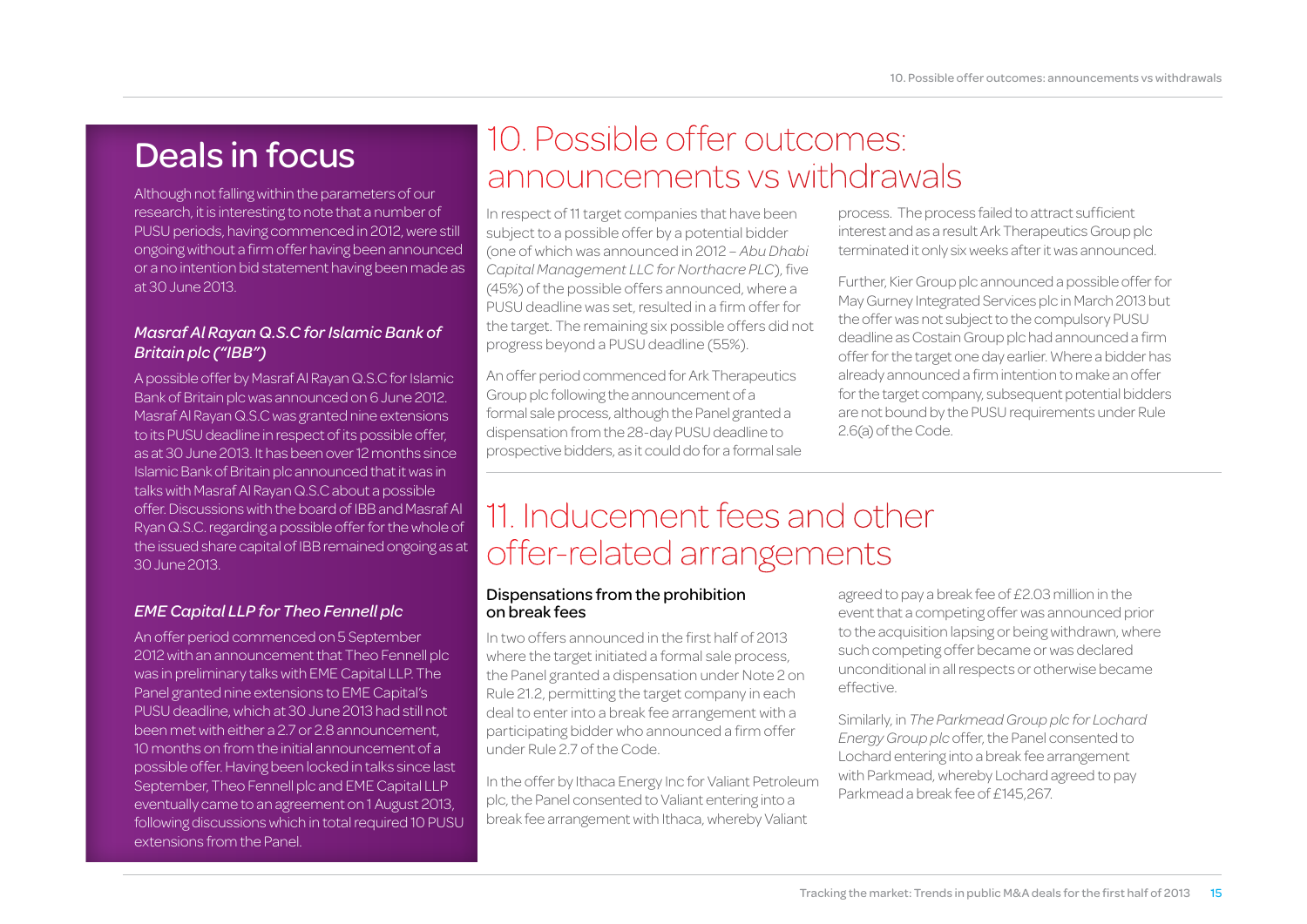Although not falling within the parameters of our research, it is interesting to note that a number of PUSU periods, having commenced in 2012, were still ongoing without a firm offer having been announced or a no intention bid statement having been made as at 30 June 2013.

#### *Masraf Al Rayan Q.S.C for Islamic Bank of Britain plc ("IBB")*

A possible offer by Masraf Al Rayan Q.S.C for Islamic Bank of Britain plc was announced on 6 June 2012. Masraf Al Rayan Q.S.C was granted nine extensions to its PUSU deadline in respect of its possible offer, as at 30 June 2013. It has been over 12 months since Islamic Bank of Britain plc announced that it was in talks with Masraf Al Rayan Q.S.C about a possible offer. Discussions with the board of IBB and Masraf Al Ryan Q.S.C. regarding a possible offer for the whole of the issued share capital of IBB remained ongoing as at 30 June 2013.

#### *EME Capital LLP for Theo Fennell plc*

An offer period commenced on 5 September 2012 with an announcement that Theo Fennell plc was in preliminary talks with EME Capital LLP. The Panel granted nine extensions to EME Capital's PUSU deadline, which at 30 June 2013 had still not been met with either a 2.7 or 2.8 announcement, 10 months on from the initial announcement of a possible offer. Having been locked in talks since last September, Theo Fennell plc and EME Capital LLP eventually came to an agreement on 1 August 2013, following discussions which in total required 10 PUSU extensions from the Panel.

### Deals in focus 10. Possible offer outcomes: announcements vs withdrawals

In respect of 11 target companies that have been subject to a possible offer by a potential bidder (one of which was announced in 2012 – *Abu Dhabi Capital Management LLC for Northacre PLC*), five (45%) of the possible offers announced, where a PUSU deadline was set, resulted in a firm offer for the target. The remaining six possible offers did not progress beyond a PUSU deadline (55%).

An offer period commenced for Ark Therapeutics Group plc following the announcement of a formal sale process, although the Panel granted a dispensation from the 28-day PUSU deadline to prospective bidders, as it could do for a formal sale process. The process failed to attract sufficient interest and as a result Ark Therapeutics Group plc terminated it only six weeks after it was announced.

Further, Kier Group plc announced a possible offer for May Gurney Integrated Services plc in March 2013 but the offer was not subject to the compulsory PUSU deadline as Costain Group plc had announced a firm offer for the target one day earlier. Where a bidder has already announced a firm intention to make an offer for the target company, subsequent potential bidders are not bound by the PUSU requirements under Rule 2.6(a) of the Code.

### 11. Inducement fees and other offer-related arrangements

#### Dispensations from the prohibition on break fees

In two offers announced in the first half of 2013 where the target initiated a formal sale process, the Panel granted a dispensation under Note 2 on Rule 21.2, permitting the target company in each deal to enter into a break fee arrangement with a participating bidder who announced a firm offer under Rule 2.7 of the Code.

In the offer by Ithaca Energy Inc for Valiant Petroleum plc, the Panel consented to Valiant entering into a break fee arrangement with Ithaca, whereby Valiant

agreed to pay a break fee of £2.03 million in the event that a competing offer was announced prior to the acquisition lapsing or being withdrawn, where such competing offer became or was declared unconditional in all respects or otherwise became effective.

Similarly, in *The Parkmead Group plc for Lochard Energy Group plc* offer, the Panel consented to Lochard entering into a break fee arrangement with Parkmead, whereby Lochard agreed to pay Parkmead a break fee of £145,267.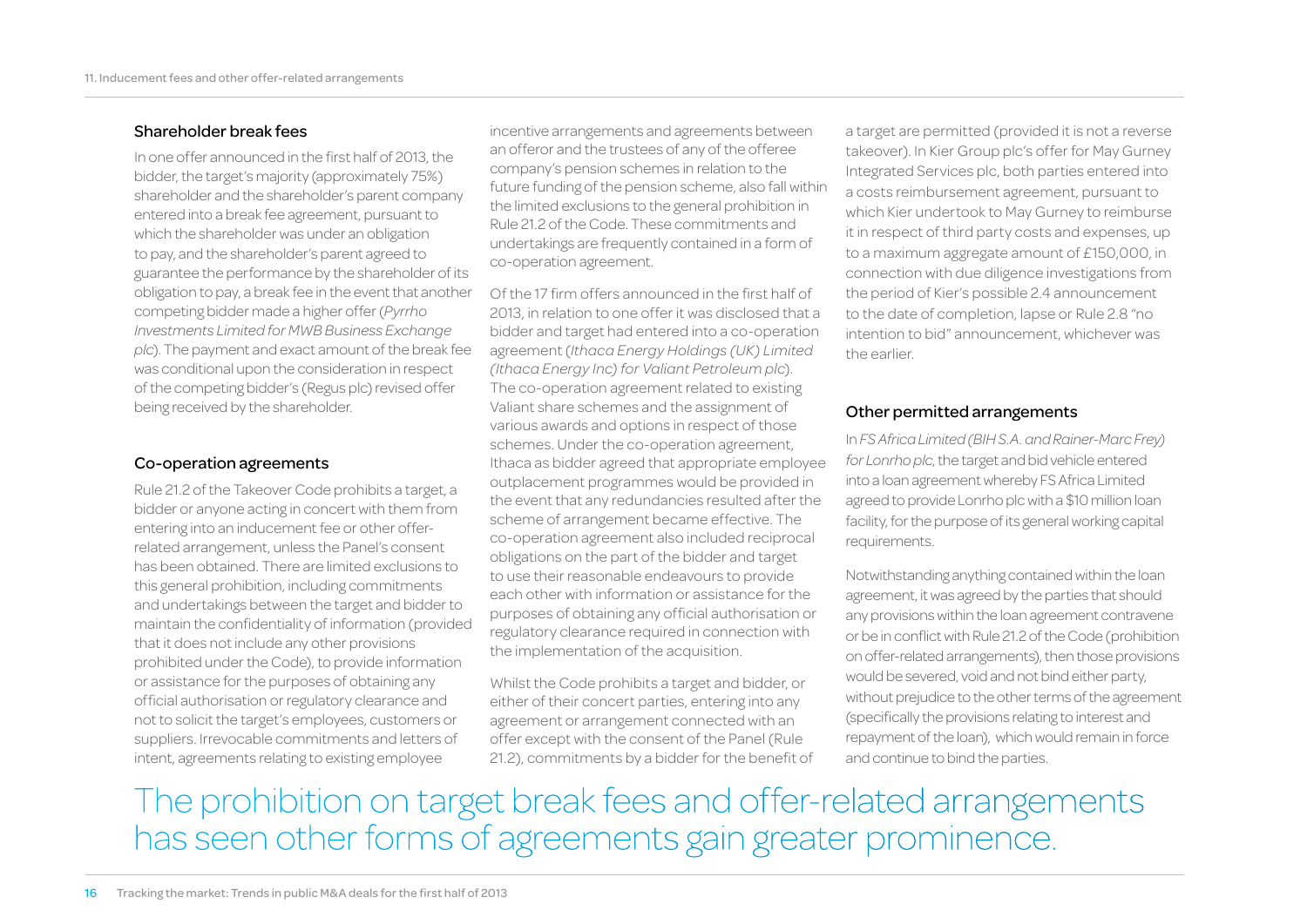#### Shareholder break fees

In one offer announced in the first half of 2013, the bidder, the target's majority (approximately 75%) shareholder and the shareholder's parent company entered into a break fee agreement, pursuant to which the shareholder was under an obligation to pay, and the shareholder's parent agreed to guarantee the performance by the shareholder of its obligation to pay, a break fee in the event that another competing bidder made a higher offer (*Pyrrho Investments Limited for MWB Business Exchange plc*). The payment and exact amount of the break fee was conditional upon the consideration in respect of the competing bidder's (Regus plc) revised offer being received by the shareholder.

#### Co-operation agreements

Rule 21.2 of the Takeover Code prohibits a target, a bidder or anyone acting in concert with them from entering into an inducement fee or other offerrelated arrangement, unless the Panel's consent has been obtained. There are limited exclusions to this general prohibition, including commitments and undertakings between the target and bidder to maintain the confidentiality of information (provided that it does not include any other provisions prohibited under the Code), to provide information or assistance for the purposes of obtaining any official authorisation or regulatory clearance and not to solicit the target's employees, customers or suppliers. Irrevocable commitments and letters of intent, agreements relating to existing employee

incentive arrangements and agreements between an offeror and the trustees of any of the offeree company's pension schemes in relation to the future funding of the pension scheme, also fall within the limited exclusions to the general prohibition in Rule 21.2 of the Code. These commitments and undertakings are frequently contained in a form of co-operation agreement.

Of the 17 firm offers announced in the first half of 2013, in relation to one offer it was disclosed that a bidder and target had entered into a co-operation agreement (*Ithaca Energy Holdings (UK) Limited (Ithaca Energy Inc) for Valiant Petroleum plc*). The co-operation agreement related to existing Valiant share schemes and the assignment of various awards and options in respect of those schemes. Under the co-operation agreement, Ithaca as bidder agreed that appropriate employee outplacement programmes would be provided in the event that any redundancies resulted after the scheme of arrangement became effective. The co-operation agreement also included reciprocal obligations on the part of the bidder and target to use their reasonable endeavours to provide each other with information or assistance for the purposes of obtaining any official authorisation or regulatory clearance required in connection with the implementation of the acquisition.

Whilst the Code prohibits a target and bidder, or either of their concert parties, entering into any agreement or arrangement connected with an offer except with the consent of the Panel (Rule 21.2), commitments by a bidder for the benefit of

a target are permitted (provided it is not a reverse takeover). In Kier Group plc's offer for May Gurney Integrated Services plc, both parties entered into a costs reimbursement agreement, pursuant to which Kier undertook to May Gurney to reimburse it in respect of third party costs and expenses, up to a maximum aggregate amount of £150,000, in connection with due diligence investigations from the period of Kier's possible 2.4 announcement to the date of completion, lapse or Rule 2.8 "no intention to bid" announcement, whichever was the earlier.

#### Other permitted arrangements

In *FS Africa Limited (BIH S.A. and Rainer-Marc Frey) for Lonrho plc*, the target and bid vehicle entered into a loan agreement whereby FS Africa Limited agreed to provide Lonrho plc with a \$10 million loan facility, for the purpose of its general working capital requirements.

Notwithstanding anything contained within the loan agreement, it was agreed by the parties that should any provisions within the loan agreement contravene or be in conflict with Rule 21.2 of the Code (prohibition on offer-related arrangements), then those provisions would be severed, void and not bind either party, without prejudice to the other terms of the agreement (specifically the provisions relating to interest and repayment of the loan), which would remain in force and continue to bind the parties.

The prohibition on target break fees and offer-related arrangements has seen other forms of agreements gain greater prominence.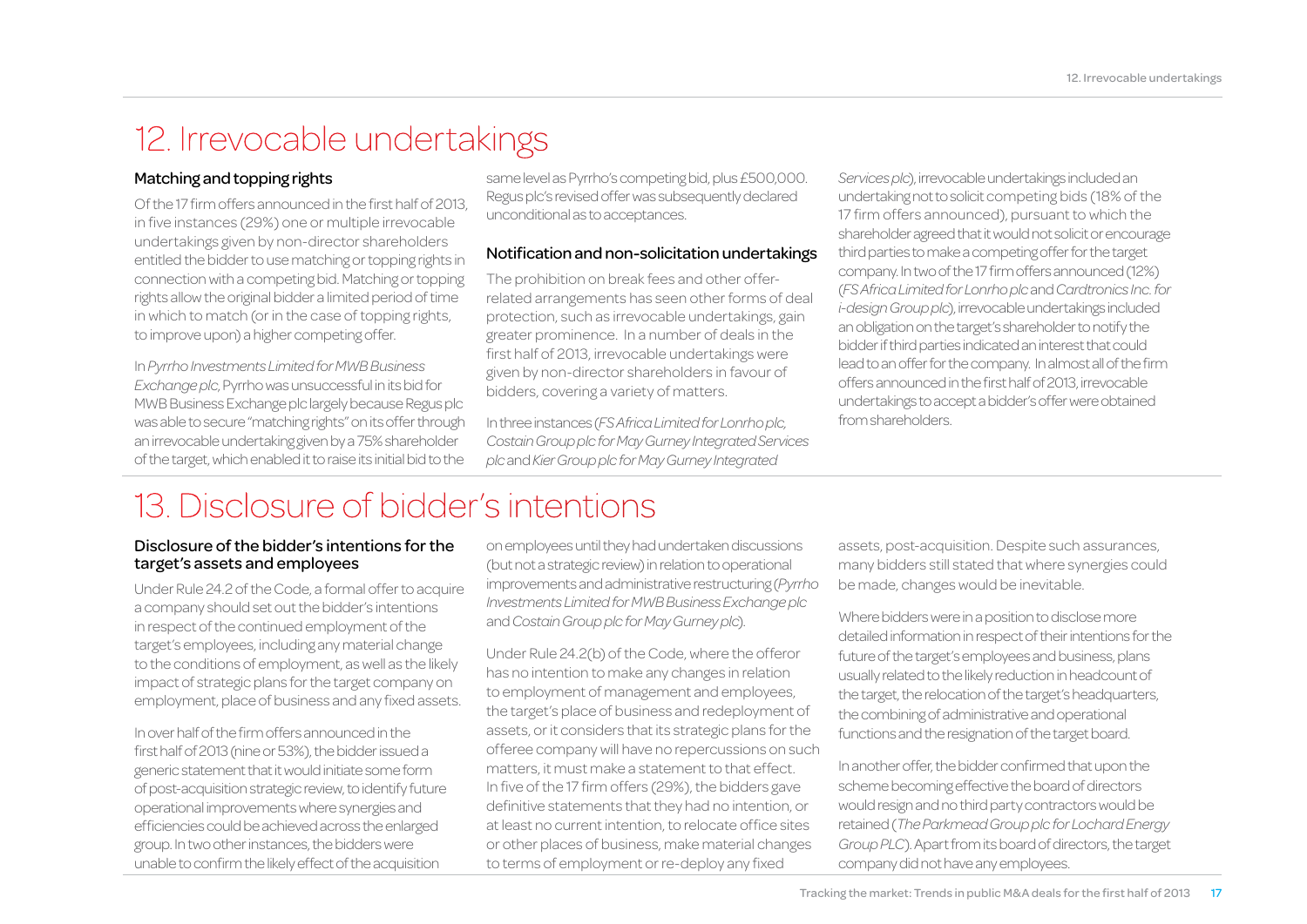### 12. Irrevocable undertakings

#### Matching and topping rights

Of the 17 firm offers announced in the first half of 2013, in five instances (29%) one or multiple irrevocable undertakings given by non-director shareholders entitled the bidder to use matching or topping rights in connection with a competing bid. Matching or topping rights allow the original bidder a limited period of time in which to match (or in the case of topping rights, to improve upon) a higher competing offer.

In *Pyrrho Investments Limited for MWB Business Exchange plc*, Pyrrho was unsuccessful in its bid for MWB Business Exchange plc largely because Regus plc was able to secure "matching rights" on its offer through an irrevocable undertaking given by a 75% shareholder of the target, which enabled it to raise its initial bid to the same level as Pyrrho's competing bid, plus £500,000. Regus plc's revised offer was subsequently declared unconditional as to acceptances.

#### Notification and non-solicitation undertakings

The prohibition on break fees and other offerrelated arrangements has seen other forms of deal protection, such as irrevocable undertakings, gain greater prominence. In a number of deals in the first half of 2013, irrevocable undertakings were given by non-director shareholders in favour of bidders, covering a variety of matters.

In three instances (*FS Africa Limited for Lonrho plc, Costain Group plc for May Gurney Integrated Services plc* and *Kier Group plc for May Gurney Integrated* 

*Services plc*), irrevocable undertakings included an undertaking not to solicit competing bids (18% of the 17 firm offers announced), pursuant to which the shareholder agreed that it would not solicit or encourage third parties to make a competing offer for the target company. In two of the 17 firm offers announced (12%) (*FS Africa Limited for Lonrho plc* and *Cardtronics Inc. for i-design Group plc*), irrevocable undertakings included an obligation on the target's shareholder to notify the bidder if third parties indicated an interest that could lead to an offer for the company. In almost all of the firm offers announced in the first half of 2013, irrevocable undertakings to accept a bidder's offer were obtained from shareholders.

### 13. Disclosure of bidder's intentions

#### Disclosure of the bidder's intentions for the target's assets and employees

Under Rule 24.2 of the Code, a formal offer to acquire a company should set out the bidder's intentions in respect of the continued employment of the target's employees, including any material change to the conditions of employment, as well as the likely impact of strategic plans for the target company on employment, place of business and any fixed assets.

In over half of the firm offers announced in the first half of 2013 (nine or 53%), the bidder issued a generic statement that it would initiate some form of post-acquisition strategic review, to identify future operational improvements where synergies and efficiencies could be achieved across the enlarged group. In two other instances, the bidders were unable to confirm the likely effect of the acquisition

on employees until they had undertaken discussions (but not a strategic review) in relation to operational improvements and administrative restructuring (*Pyrrho Investments Limited for MWB Business Exchange plc*  and *Costain Group plc for May Gurney plc*).

Under Rule 24.2(b) of the Code, where the offeror has no intention to make any changes in relation to employment of management and employees, the target's place of business and redeployment of assets, or it considers that its strategic plans for the offeree company will have no repercussions on such matters, it must make a statement to that effect. In five of the 17 firm offers (29%), the bidders gave definitive statements that they had no intention, or at least no current intention, to relocate office sites or other places of business, make material changes to terms of employment or re-deploy any fixed

assets, post-acquisition. Despite such assurances, many bidders still stated that where synergies could be made, changes would be inevitable.

Where bidders were in a position to disclose more detailed information in respect of their intentions for the future of the target's employees and business, plans usually related to the likely reduction in headcount of the target, the relocation of the target's headquarters, the combining of administrative and operational functions and the resignation of the target board.

In another offer, the bidder confirmed that upon the scheme becoming effective the board of directors would resign and no third party contractors would be retained (*The Parkmead Group plc for Lochard Energy Group PLC*). Apart from its board of directors, the target company did not have any employees.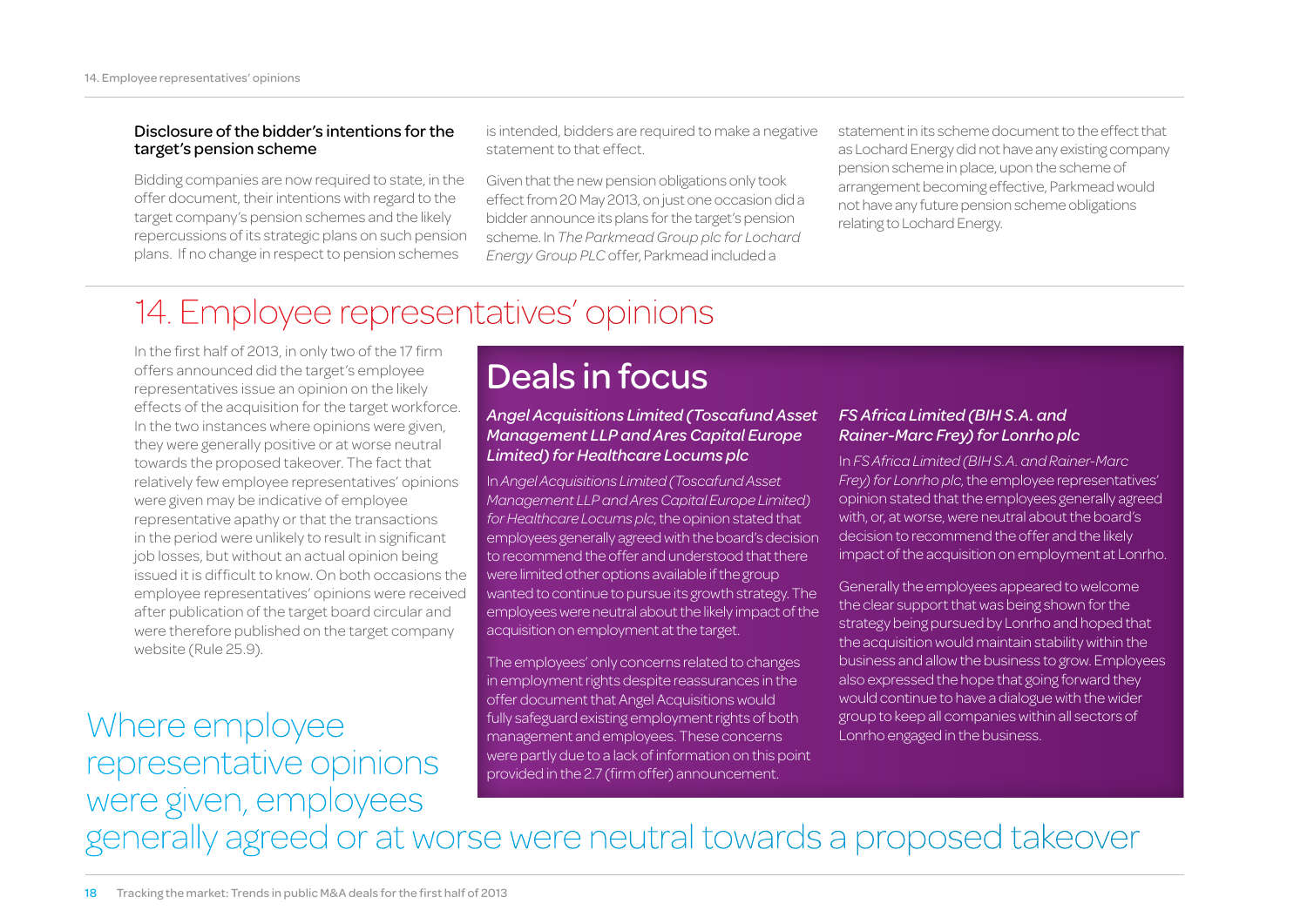#### Disclosure of the bidder's intentions for the target's pension scheme

Bidding companies are now required to state, in the offer document, their intentions with regard to the target company's pension schemes and the likely repercussions of its strategic plans on such pension plans. If no change in respect to pension schemes

is intended, bidders are required to make a negative statement to that effect.

Given that the new pension obligations only took effect from 20 May 2013, on just one occasion did a bidder announce its plans for the target's pension scheme. In *The Parkmead Group plc for Lochard Energy Group PLC* offer, Parkmead included a

statement in its scheme document to the effect that as Lochard Energy did not have any existing company pension scheme in place, upon the scheme of arrangement becoming effective, Parkmead would not have any future pension scheme obligations relating to Lochard Energy.

### 14. Employee representatives' opinions

In the first half of 2013, in only two of the 17 firm offers announced did the target's employee representatives issue an opinion on the likely effects of the acquisition for the target workforce. In the two instances where opinions were given, they were generally positive or at worse neutral towards the proposed takeover. The fact that relatively few employee representatives' opinions were given may be indicative of employee representative apathy or that the transactions in the period were unlikely to result in significant job losses, but without an actual opinion being issued it is difficult to know. On both occasions the employee representatives' opinions were received after publication of the target board circular and were therefore published on the target company website (Rule 25.9).

### Where employee representative opinions were given, employees

### Deals in focus

#### *Angel Acquisitions Limited (Toscafund Asset Management LLP and Ares Capital Europe Limited) for Healthcare Locums plc*

In *Angel Acquisitions Limited (Toscafund Asset Management LLP and Ares Capital Europe Limited) for Healthcare Locums plc*, the opinion stated that employees generally agreed with the board's decision to recommend the offer and understood that there were limited other options available if the group wanted to continue to pursue its growth strategy. The employees were neutral about the likely impact of the acquisition on employment at the target.

The employees' only concerns related to changes in employment rights despite reassurances in the offer document that Angel Acquisitions would fully safeguard existing employment rights of both management and employees. These concerns were partly due to a lack of information on this point provided in the 2.7 (firm offer) announcement.

#### *FS Africa Limited (BIH S.A. and Rainer-Marc Frey) for Lonrho plc*

In *FS Africa Limited (BIH S.A. and Rainer-Marc Frey) for Lonrho plc*, the employee representatives' opinion stated that the employees generally agreed with, or, at worse, were neutral about the board's decision to recommend the offer and the likely impact of the acquisition on employment at Lonrho.

Generally the employees appeared to welcome the clear support that was being shown for the strategy being pursued by Lonrho and hoped that the acquisition would maintain stability within the business and allow the business to grow. Employees also expressed the hope that going forward they would continue to have a dialogue with the wider group to keep all companies within all sectors of Lonrho engaged in the business.

generally agreed or at worse were neutral towards a proposed takeover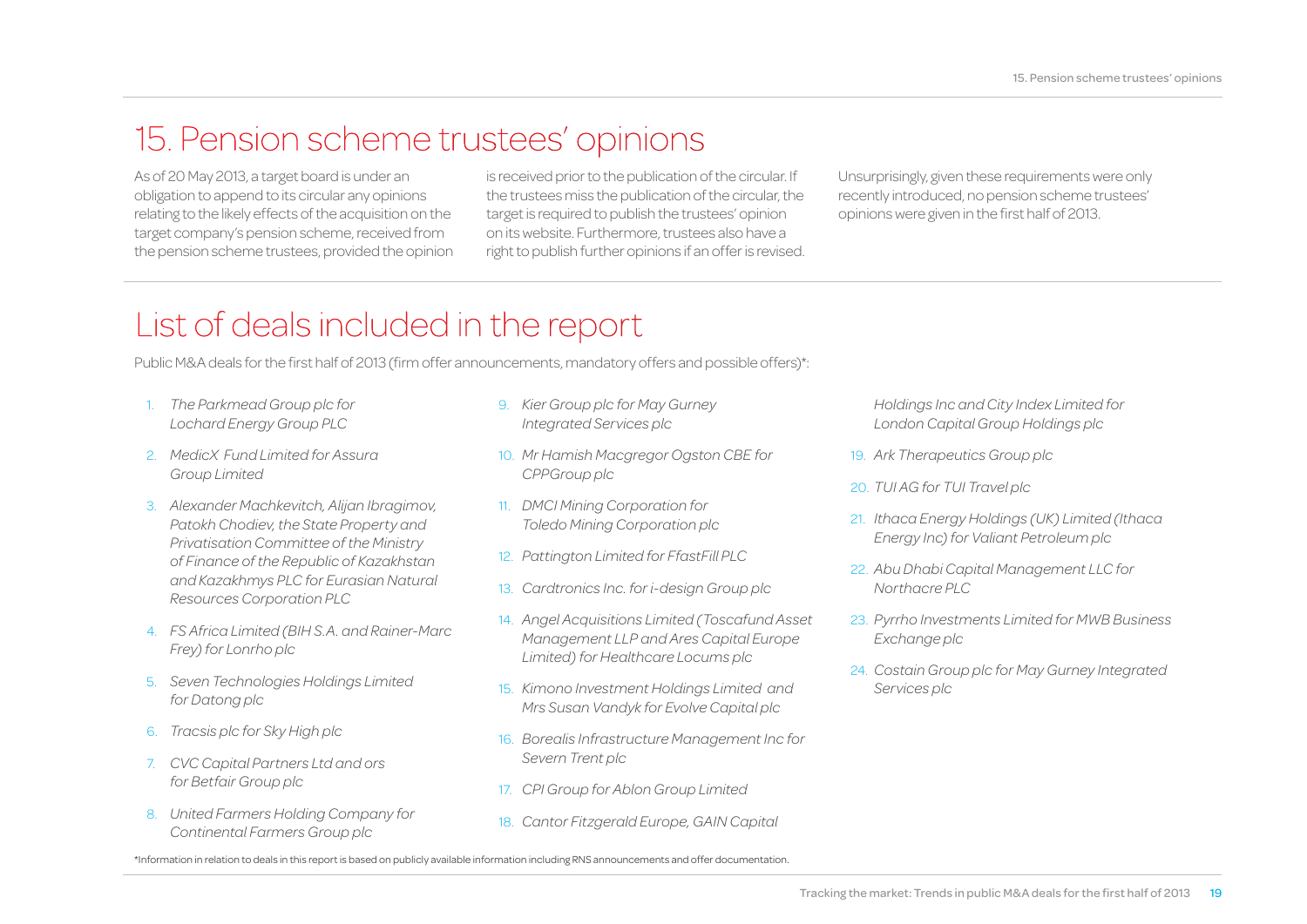### 15. Pension scheme trustees' opinions

As of 20 May 2013, a target board is under an obligation to append to its circular any opinions relating to the likely effects of the acquisition on the target company's pension scheme, received from the pension scheme trustees, provided the opinion is received prior to the publication of the circular. If the trustees miss the publication of the circular, the target is required to publish the trustees' opinion on its website. Furthermore, trustees also have a right to publish further opinions if an offer is revised. Unsurprisingly, given these requirements were only recently introduced, no pension scheme trustees' opinions were given in the first half of 2013.

### List of deals included in the report

Public M&A deals for the first half of 2013 (firm offer announcements, mandatory offers and possible offers)\*:

- 1. *The Parkmead Group plc for Lochard Energy Group PLC*
- 2. *MedicX Fund Limited for Assura Group Limited*
- 3. *Alexander Machkevitch, Alijan Ibragimov, Patokh Chodiev, the State Property and Privatisation Committee of the Ministry of Finance of the Republic of Kazakhstan and Kazakhmys PLC for Eurasian Natural Resources Corporation PLC*
- 4. *FS Africa Limited (BIH S.A. and Rainer-Marc Frey) for Lonrho plc*
- 5. *Seven Technologies Holdings Limited for Datong plc*
- 6. *Tracsis plc for Sky High plc*
- 7. *CVC Capital Partners Ltd and ors for Betfair Group plc*
- 8. *United Farmers Holding Company for Continental Farmers Group plc*
- 9. *Kier Group plc for May Gurney Integrated Services plc*
- 10. *Mr Hamish Macgregor Ogston CBE for CPPGroup plc*
- 11. *DMCI Mining Corporation for Toledo Mining Corporation plc*
- 12. *Pattington Limited for FfastFill PLC*
- 13. *Cardtronics Inc. for i-design Group plc*
- 14. *Angel Acquisitions Limited (Toscafund Asset Management LLP and Ares Capital Europe Limited) for Healthcare Locums plc*
- 15. *Kimono Investment Holdings Limited and Mrs Susan Vandyk for Evolve Capital plc*
- 16. *Borealis Infrastructure Management Inc for Severn Trent plc*
- 17. *CPI Group for Ablon Group Limited*
- 18. *Cantor Fitzgerald Europe, GAIN Capital*

*Holdings Inc and City Index Limited for London Capital Group Holdings plc*

- 19. *Ark Therapeutics Group plc*
- 20. *TUI AG for TUI Travel plc*
- 21. *Ithaca Energy Holdings (UK) Limited (Ithaca Energy Inc) for Valiant Petroleum plc*
- 22. *Abu Dhabi Capital Management LLC for Northacre PLC*
- 23. *Pyrrho Investments Limited for MWB Business Exchange plc*
- 24. *Costain Group plc for May Gurney Integrated Services plc*

\*Information in relation to deals in this report is based on publicly available information including RNS announcements and offer documentation.